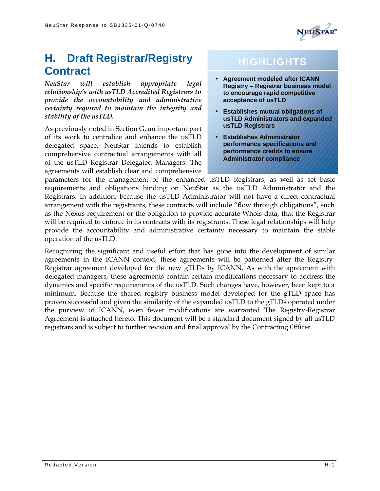

# **H. Draft Registrar/Registry Contract**

*NeuStar will establish appropriate legal relationship's with usTLD Accredited Registrars to provide the accountability and administrative certainty required to maintain the integrity and stability of the usTLD.*

As previously noted in Section G, an important part of its work to centralize and enhance the usTLD delegated space, NeuStar intends to establish comprehensive contractual arrangements with all of the usTLD Registrar Delegated Managers. The agreements will establish clear and comprehensive

# **HIGHLIGHTS**

- **Agreement modeled after ICANN Registry – Registrar business model to encourage rapid competitive acceptance of usTLD**
- **Establishes mutual obligations of usTLD Administrators and expanded usTLD Registrars**
- **Establishes Administrator performance specifications and performance credits to ensure Administrator compliance**

parameters for the management of the enhanced usTLD Registrars, as well as set basic requirements and obligations binding on NeuStar as the usTLD Administrator and the Registrars. In addition, because the usTLD Administrator will not have a direct contractual arrangement with the registrants, these contracts will include "flow through obligations", such as the Nexus requirement or the obligation to provide accurate Whois data, that the Registrar will be required to enforce in its contracts with its registrants. These legal relationships will help provide the accountability and administrative certainty necessary to maintain the stable operation of the usTLD.

Recognizing the significant and useful effort that has gone into the development of similar agreements in the ICANN context, these agreements will be patterned after the Registry-Registrar agreement developed for the new gTLDs by ICANN. As with the agreement with delegated managers, these agreements contain certain modifications necessary to address the dynamics and specific requirements of the usTLD. Such changes have, however, been kept to a minimum. Because the shared registry business model developed for the gTLD space has proven successful and given the similarity of the expanded usTLD to the gTLDs operated under the purview of ICANN, even fewer modifications are warranted The Registry-Registrar Agreement is attached hereto. This document will be a standard document signed by all usTLD registrars and is subject to further revision and final approval by the Contracting Officer.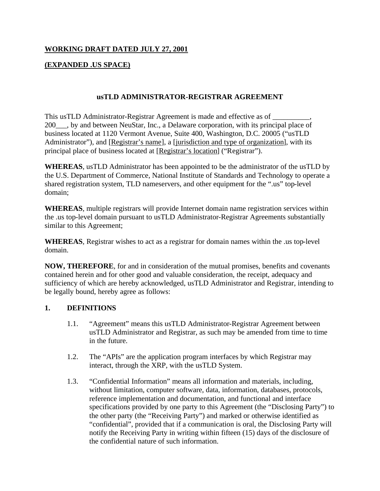### **WORKING DRAFT DATED JULY 27, 2001**

### **(EXPANDED .US SPACE)**

### **usTLD ADMINISTRATOR-REGISTRAR AGREEMENT**

This usTLD Administrator-Registrar Agreement is made and effective as of \_\_\_\_\_\_\_\_\_\_, 200\_\_\_, by and between NeuStar, Inc., a Delaware corporation, with its principal place of business located at 1120 Vermont Avenue, Suite 400, Washington, D.C. 20005 ("usTLD Administrator"), and [Registrar's name], a [jurisdiction and type of organization], with its principal place of business located at [Registrar's location] ("Registrar").

**WHEREAS**, usTLD Administrator has been appointed to be the administrator of the usTLD by the U.S. Department of Commerce, National Institute of Standards and Technology to operate a shared registration system, TLD nameservers, and other equipment for the ".us" top-level domain;

**WHEREAS**, multiple registrars will provide Internet domain name registration services within the .us top-level domain pursuant to usTLD Administrator-Registrar Agreements substantially similar to this Agreement;

**WHEREAS**, Registrar wishes to act as a registrar for domain names within the .us top-level domain.

**NOW, THEREFORE**, for and in consideration of the mutual promises, benefits and covenants contained herein and for other good and valuable consideration, the receipt, adequacy and sufficiency of which are hereby acknowledged, usTLD Administrator and Registrar, intending to be legally bound, hereby agree as follows:

### **1. DEFINITIONS**

- 1.1. "Agreement" means this usTLD Administrator-Registrar Agreement between usTLD Administrator and Registrar, as such may be amended from time to time in the future.
- 1.2. The "APIs" are the application program interfaces by which Registrar may interact, through the XRP, with the usTLD System.
- 1.3. "Confidential Information" means all information and materials, including, without limitation, computer software, data, information, databases, protocols, reference implementation and documentation, and functional and interface specifications provided by one party to this Agreement (the "Disclosing Party") to the other party (the "Receiving Party") and marked or otherwise identified as "confidential", provided that if a communication is oral, the Disclosing Party will notify the Receiving Party in writing within fifteen (15) days of the disclosure of the confidential nature of such information.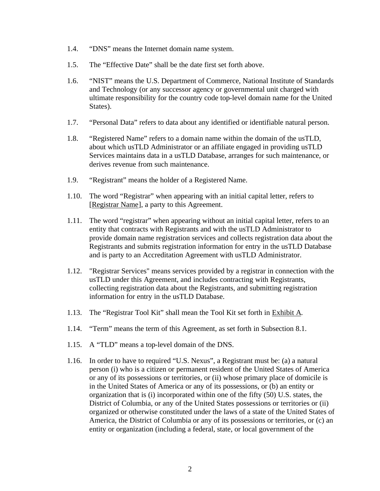- 1.4. "DNS" means the Internet domain name system.
- 1.5. The "Effective Date" shall be the date first set forth above.
- 1.6. "NIST" means the U.S. Department of Commerce, National Institute of Standards and Technology (or any successor agency or governmental unit charged with ultimate responsibility for the country code top-level domain name for the United States).
- 1.7. "Personal Data" refers to data about any identified or identifiable natural person.
- 1.8. "Registered Name" refers to a domain name within the domain of the usTLD, about which usTLD Administrator or an affiliate engaged in providing usTLD Services maintains data in a usTLD Database, arranges for such maintenance, or derives revenue from such maintenance.
- 1.9. "Registrant" means the holder of a Registered Name.
- 1.10. The word "Registrar" when appearing with an initial capital letter, refers to [Registrar Name], a party to this Agreement.
- 1.11. The word "registrar" when appearing without an initial capital letter, refers to an entity that contracts with Registrants and with the usTLD Administrator to provide domain name registration services and collects registration data about the Registrants and submits registration information for entry in the usTLD Database and is party to an Accreditation Agreement with usTLD Administrator.
- 1.12. "Registrar Services" means services provided by a registrar in connection with the usTLD under this Agreement, and includes contracting with Registrants, collecting registration data about the Registrants, and submitting registration information for entry in the usTLD Database.
- 1.13. The "Registrar Tool Kit" shall mean the Tool Kit set forth in Exhibit A.
- 1.14. "Term" means the term of this Agreement, as set forth in Subsection 8.1.
- 1.15. A "TLD" means a top-level domain of the DNS.
- 1.16. In order to have to required "U.S. Nexus", a Registrant must be: (a) a natural person (i) who is a citizen or permanent resident of the United States of America or any of its possessions or territories, or (ii) whose primary place of domicile is in the United States of America or any of its possessions, or (b) an entity or organization that is (i) incorporated within one of the fifty (50) U.S. states, the District of Columbia, or any of the United States possessions or territories or (ii) organized or otherwise constituted under the laws of a state of the United States of America, the District of Columbia or any of its possessions or territories, or (c) an entity or organization (including a federal, state, or local government of the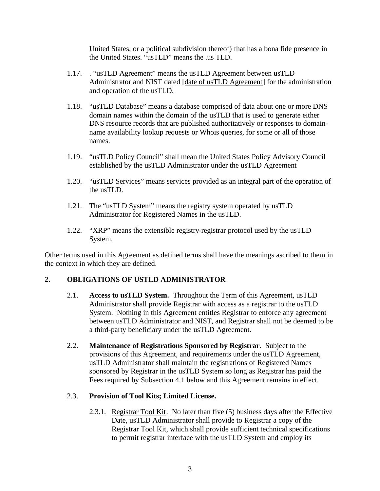United States, or a political subdivision thereof) that has a bona fide presence in the United States. "usTLD" means the .us TLD.

- 1.17. . "usTLD Agreement" means the usTLD Agreement between usTLD Administrator and NIST dated [date of usTLD Agreement] for the administration and operation of the usTLD.
- 1.18. "usTLD Database" means a database comprised of data about one or more DNS domain names within the domain of the usTLD that is used to generate either DNS resource records that are published authoritatively or responses to domainname availability lookup requests or Whois queries, for some or all of those names.
- 1.19. "usTLD Policy Council" shall mean the United States Policy Advisory Council established by the usTLD Administrator under the usTLD Agreement
- 1.20. "usTLD Services" means services provided as an integral part of the operation of the usTLD.
- 1.21. The "usTLD System" means the registry system operated by usTLD Administrator for Registered Names in the usTLD.
- 1.22. "XRP" means the extensible registry-registrar protocol used by the usTLD System.

Other terms used in this Agreement as defined terms shall have the meanings ascribed to them in the context in which they are defined.

### **2. OBLIGATIONS OF USTLD ADMINISTRATOR**

- 2.1. **Access to usTLD System.** Throughout the Term of this Agreement, usTLD Administrator shall provide Registrar with access as a registrar to the usTLD System. Nothing in this Agreement entitles Registrar to enforce any agreement between usTLD Administrator and NIST, and Registrar shall not be deemed to be a third-party beneficiary under the usTLD Agreement.
- 2.2. **Maintenance of Registrations Sponsored by Registrar.** Subject to the provisions of this Agreement, and requirements under the usTLD Agreement, usTLD Administrator shall maintain the registrations of Registered Names sponsored by Registrar in the usTLD System so long as Registrar has paid the Fees required by Subsection 4.1 below and this Agreement remains in effect.

### 2.3. **Provision of Tool Kits; Limited License.**

2.3.1. Registrar Tool Kit. No later than five (5) business days after the Effective Date, usTLD Administrator shall provide to Registrar a copy of the Registrar Tool Kit, which shall provide sufficient technical specifications to permit registrar interface with the usTLD System and employ its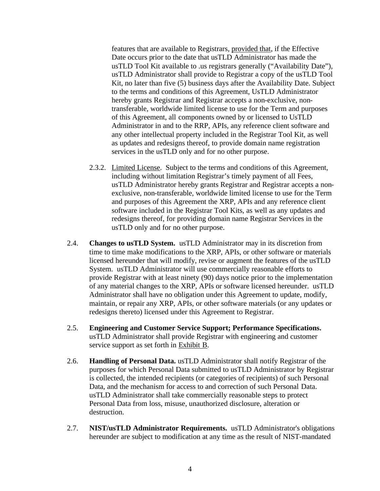features that are available to Registrars, provided that, if the Effective Date occurs prior to the date that usTLD Administrator has made the usTLD Tool Kit available to .us registrars generally ("Availability Date"), usTLD Administrator shall provide to Registrar a copy of the usTLD Tool Kit, no later than five (5) business days after the Availability Date. Subject to the terms and conditions of this Agreement, UsTLD Administrator hereby grants Registrar and Registrar accepts a non-exclusive, nontransferable, worldwide limited license to use for the Term and purposes of this Agreement, all components owned by or licensed to UsTLD Administrator in and to the RRP, APIs, any reference client software and any other intellectual property included in the Registrar Tool Kit, as well as updates and redesigns thereof, to provide domain name registration services in the usTLD only and for no other purpose.

- 2.3.2. Limited License. Subject to the terms and conditions of this Agreement, including without limitation Registrar's timely payment of all Fees, usTLD Administrator hereby grants Registrar and Registrar accepts a nonexclusive, non-transferable, worldwide limited license to use for the Term and purposes of this Agreement the XRP, APIs and any reference client software included in the Registrar Tool Kits, as well as any updates and redesigns thereof, for providing domain name Registrar Services in the usTLD only and for no other purpose.
- 2.4. **Changes to usTLD System.** usTLD Administrator may in its discretion from time to time make modifications to the XRP, APIs, or other software or materials licensed hereunder that will modify, revise or augment the features of the usTLD System. usTLD Administrator will use commercially reasonable efforts to provide Registrar with at least ninety (90) days notice prior to the implementation of any material changes to the XRP, APIs or software licensed hereunder. usTLD Administrator shall have no obligation under this Agreement to update, modify, maintain, or repair any XRP, APIs, or other software materials (or any updates or redesigns thereto) licensed under this Agreement to Registrar.
- 2.5. **Engineering and Customer Service Support; Performance Specifications.** usTLD Administrator shall provide Registrar with engineering and customer service support as set forth in Exhibit B.
- 2.6. **Handling of Personal Data.** usTLD Administrator shall notify Registrar of the purposes for which Personal Data submitted to usTLD Administrator by Registrar is collected, the intended recipients (or categories of recipients) of such Personal Data, and the mechanism for access to and correction of such Personal Data. usTLD Administrator shall take commercially reasonable steps to protect Personal Data from loss, misuse, unauthorized disclosure, alteration or destruction.
- 2.7. **NIST/usTLD Administrator Requirements.** usTLD Administrator's obligations hereunder are subject to modification at any time as the result of NIST-mandated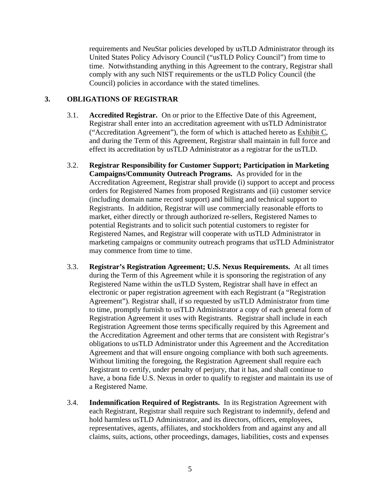requirements and NeuStar policies developed by usTLD Administrator through its United States Policy Advisory Council ("usTLD Policy Council") from time to time. Notwithstanding anything in this Agreement to the contrary, Registrar shall comply with any such NIST requirements or the usTLD Policy Council (the Council) policies in accordance with the stated timelines.

### **3. OBLIGATIONS OF REGISTRAR**

- 3.1. **Accredited Registrar.** On or prior to the Effective Date of this Agreement, Registrar shall enter into an accreditation agreement with usTLD Administrator ("Accreditation Agreement"), the form of which is attached hereto as Exhibit C, and during the Term of this Agreement, Registrar shall maintain in full force and effect its accreditation by usTLD Administrator as a registrar for the usTLD.
- 3.2. **Registrar Responsibility for Customer Support; Participation in Marketing Campaigns/Community Outreach Programs.** As provided for in the Accreditation Agreement, Registrar shall provide (i) support to accept and process orders for Registered Names from proposed Registrants and (ii) customer service (including domain name record support) and billing and technical support to Registrants. In addition, Registrar will use commercially reasonable efforts to market, either directly or through authorized re-sellers, Registered Names to potential Registrants and to solicit such potential customers to register for Registered Names, and Registrar will cooperate with usTLD Administrator in marketing campaigns or community outreach programs that usTLD Administrator may commence from time to time.
- 3.3. **Registrar's Registration Agreement; U.S. Nexus Requirements.** At all times during the Term of this Agreement while it is sponsoring the registration of any Registered Name within the usTLD System, Registrar shall have in effect an electronic or paper registration agreement with each Registrant (a "Registration Agreement"). Registrar shall, if so requested by usTLD Administrator from time to time, promptly furnish to usTLD Administrator a copy of each general form of Registration Agreement it uses with Registrants. Registrar shall include in each Registration Agreement those terms specifically required by this Agreement and the Accreditation Agreement and other terms that are consistent with Registrar's obligations to usTLD Administrator under this Agreement and the Accreditation Agreement and that will ensure ongoing compliance with both such agreements. Without limiting the foregoing, the Registration Agreement shall require each Registrant to certify, under penalty of perjury, that it has, and shall continue to have, a bona fide U.S. Nexus in order to qualify to register and maintain its use of a Registered Name.
- 3.4. **Indemnification Required of Registrants.** In its Registration Agreement with each Registrant, Registrar shall require such Registrant to indemnify, defend and hold harmless usTLD Administrator, and its directors, officers, employees, representatives, agents, affiliates, and stockholders from and against any and all claims, suits, actions, other proceedings, damages, liabilities, costs and expenses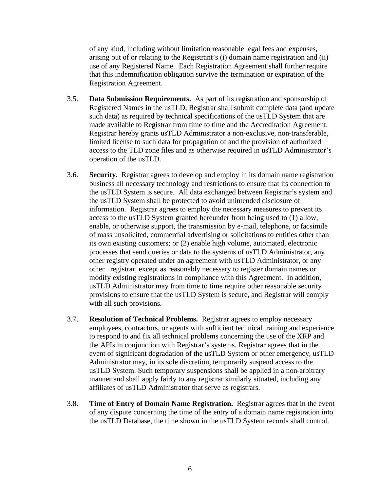of any kind, including without limitation reasonable legal fees and expenses, arising out of or relating to the Registrant's (i) domain name registration and (ii) use of any Registered Name. Each Registration Agreement shall further require that this indemnification obligation survive the termination or expiration of the Registration Agreement.

- 3.5. **Data Submission Requirements.** As part of its registration and sponsorship of Registered Names in the usTLD, Registrar shall submit complete data (and update such data) as required by technical specifications of the usTLD System that are made available to Registrar from time to time and the Accreditation Agreement. Registrar hereby grants usTLD Administrator a non-exclusive, non-transferable, limited license to such data for propagation of and the provision of authorized access to the TLD zone files and as otherwise required in usTLD Administrator's operation of the usTLD.
- 3.6. **Security.** Registrar agrees to develop and employ in its domain name registration business all necessary technology and restrictions to ensure that its connection to the usTLD System is secure. All data exchanged between Registrar's system and the usTLD System shall be protected to avoid unintended disclosure of information.Registrar agrees to employ the necessary measures to prevent its access to the usTLD System granted hereunder from being used to (1) allow, enable, or otherwise support, the transmission by e-mail, telephone, or facsimile of mass unsolicited, commercial advertising or solicitations to entities other than its own existing customers; or (2) enable high volume, automated, electronic processes that send queries or data to the systems of usTLD Administrator, any other registry operated under an agreement with usTLD Administrator, or any other registrar, except as reasonably necessary to register domain names or modify existing registrations in compliance with this Agreement. In addition, usTLD Administrator may from time to time require other reasonable security provisions to ensure that the usTLD System is secure, and Registrar will comply with all such provisions.
- 3.7. **Resolution of Technical Problems.** Registrar agrees to employ necessary employees, contractors, or agents with sufficient technical training and experience to respond to and fix all technical problems concerning the use of the XRP and the APIs in conjunction with Registrar's systems. Registrar agrees that in the event of significant degradation of the usTLD System or other emergency, usTLD Administrator may, in its sole discretion, temporarily suspend access to the usTLD System. Such temporary suspensions shall be applied in a non-arbitrary manner and shall apply fairly to any registrar similarly situated, including any affiliates of usTLD Administrator that serve as registrars.
- 3.8. **Time of Entry of Domain Name Registration.** Registrar agrees that in the event of any dispute concerning the time of the entry of a domain name registration into the usTLD Database, the time shown in the usTLD System records shall control.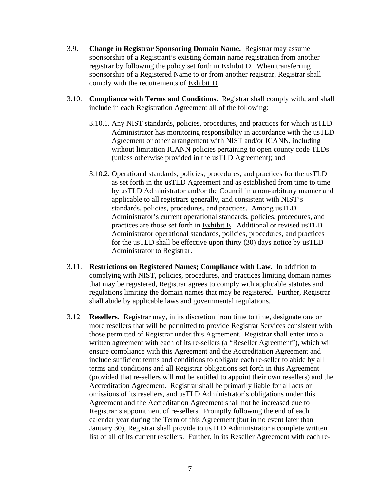- 3.9. **Change in Registrar Sponsoring Domain Name.** Registrar may assume sponsorship of a Registrant's existing domain name registration from another registrar by following the policy set forth in Exhibit D. When transferring sponsorship of a Registered Name to or from another registrar, Registrar shall comply with the requirements of Exhibit D.
- 3.10. **Compliance with Terms and Conditions.** Registrar shall comply with, and shall include in each Registration Agreement all of the following:
	- 3.10.1. Any NIST standards, policies, procedures, and practices for which usTLD Administrator has monitoring responsibility in accordance with the usTLD Agreement or other arrangement with NIST and/or ICANN, including without limitation ICANN policies pertaining to open county code TLDs (unless otherwise provided in the usTLD Agreement); and
	- 3.10.2. Operational standards, policies, procedures, and practices for the usTLD as set forth in the usTLD Agreement and as established from time to time by usTLD Administrator and/or the Council in a non-arbitrary manner and applicable to all registrars generally, and consistent with NIST's standards, policies, procedures, and practices. Among usTLD Administrator's current operational standards, policies, procedures, and practices are those set forth in Exhibit E. Additional or revised usTLD Administrator operational standards, policies, procedures, and practices for the usTLD shall be effective upon thirty (30) days notice by usTLD Administrator to Registrar.
- 3.11. **Restrictions on Registered Names; Compliance with Law.** In addition to complying with NIST, policies, procedures, and practices limiting domain names that may be registered, Registrar agrees to comply with applicable statutes and regulations limiting the domain names that may be registered. Further, Registrar shall abide by applicable laws and governmental regulations.
- 3.12 **Resellers.** Registrar may, in its discretion from time to time, designate one or more resellers that will be permitted to provide Registrar Services consistent with those permitted of Registrar under this Agreement. Registrar shall enter into a written agreement with each of its re-sellers (a "Reseller Agreement"), which will ensure compliance with this Agreement and the Accreditation Agreement and include sufficient terms and conditions to obligate each re-seller to abide by all terms and conditions and all Registrar obligations set forth in this Agreement (provided that re-sellers will *not* be entitled to appoint their own resellers) and the Accreditation Agreement. Registrar shall be primarily liable for all acts or omissions of its resellers, and usTLD Administrator's obligations under this Agreement and the Accreditation Agreement shall not be increased due to Registrar's appointment of re-sellers. Promptly following the end of each calendar year during the Term of this Agreement (but in no event later than January 30), Registrar shall provide to usTLD Administrator a complete written list of all of its current resellers. Further, in its Reseller Agreement with each re-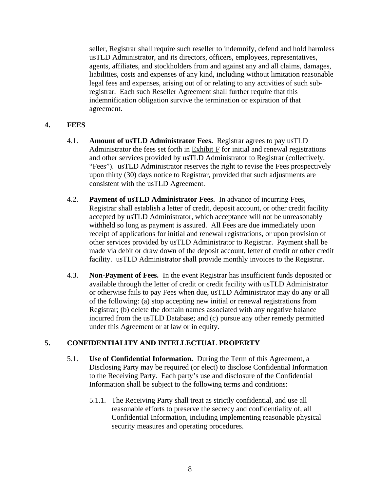seller, Registrar shall require such reseller to indemnify, defend and hold harmless usTLD Administrator, and its directors, officers, employees, representatives, agents, affiliates, and stockholders from and against any and all claims, damages, liabilities, costs and expenses of any kind, including without limitation reasonable legal fees and expenses, arising out of or relating to any activities of such subregistrar. Each such Reseller Agreement shall further require that this indemnification obligation survive the termination or expiration of that agreement.

### **4. FEES**

- 4.1. **Amount of usTLD Administrator Fees.** Registrar agrees to pay usTLD Administrator the fees set forth in Exhibit F for initial and renewal registrations and other services provided by usTLD Administrator to Registrar (collectively, "Fees"). usTLD Administrator reserves the right to revise the Fees prospectively upon thirty (30) days notice to Registrar, provided that such adjustments are consistent with the usTLD Agreement.
- 4.2. **Payment of usTLD Administrator Fees.** In advance of incurring Fees, Registrar shall establish a letter of credit, deposit account, or other credit facility accepted by usTLD Administrator, which acceptance will not be unreasonably withheld so long as payment is assured. All Fees are due immediately upon receipt of applications for initial and renewal registrations, or upon provision of other services provided by usTLD Administrator to Registrar. Payment shall be made via debit or draw down of the deposit account, letter of credit or other credit facility. usTLD Administrator shall provide monthly invoices to the Registrar.
- 4.3. **Non-Payment of Fees.** In the event Registrar has insufficient funds deposited or available through the letter of credit or credit facility with usTLD Administrator or otherwise fails to pay Fees when due, usTLD Administrator may do any or all of the following: (a) stop accepting new initial or renewal registrations from Registrar; (b) delete the domain names associated with any negative balance incurred from the usTLD Database; and (c) pursue any other remedy permitted under this Agreement or at law or in equity.

### **5. CONFIDENTIALITY AND INTELLECTUAL PROPERTY**

- 5.1. **Use of Confidential Information.** During the Term of this Agreement, a Disclosing Party may be required (or elect) to disclose Confidential Information to the Receiving Party. Each party's use and disclosure of the Confidential Information shall be subject to the following terms and conditions:
	- 5.1.1. The Receiving Party shall treat as strictly confidential, and use all reasonable efforts to preserve the secrecy and confidentiality of, all Confidential Information, including implementing reasonable physical security measures and operating procedures.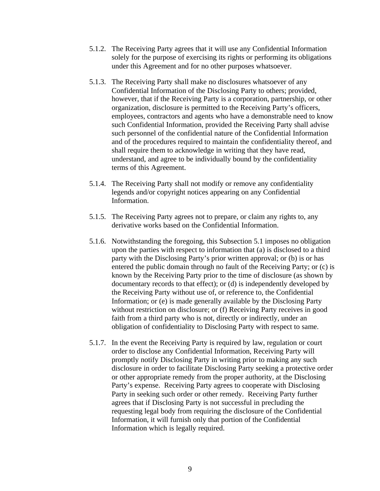- 5.1.2. The Receiving Party agrees that it will use any Confidential Information solely for the purpose of exercising its rights or performing its obligations under this Agreement and for no other purposes whatsoever.
- 5.1.3. The Receiving Party shall make no disclosures whatsoever of any Confidential Information of the Disclosing Party to others; provided, however, that if the Receiving Party is a corporation, partnership, or other organization, disclosure is permitted to the Receiving Party's officers, employees, contractors and agents who have a demonstrable need to know such Confidential Information, provided the Receiving Party shall advise such personnel of the confidential nature of the Confidential Information and of the procedures required to maintain the confidentiality thereof, and shall require them to acknowledge in writing that they have read, understand, and agree to be individually bound by the confidentiality terms of this Agreement.
- 5.1.4. The Receiving Party shall not modify or remove any confidentiality legends and/or copyright notices appearing on any Confidential Information.
- 5.1.5. The Receiving Party agrees not to prepare, or claim any rights to, any derivative works based on the Confidential Information.
- 5.1.6. Notwithstanding the foregoing, this Subsection 5.1 imposes no obligation upon the parties with respect to information that (a) is disclosed to a third party with the Disclosing Party's prior written approval; or (b) is or has entered the public domain through no fault of the Receiving Party; or (c) is known by the Receiving Party prior to the time of disclosure (as shown by documentary records to that effect); or (d) is independently developed by the Receiving Party without use of, or reference to, the Confidential Information; or (e) is made generally available by the Disclosing Party without restriction on disclosure; or (f) Receiving Party receives in good faith from a third party who is not, directly or indirectly, under an obligation of confidentiality to Disclosing Party with respect to same.
- 5.1.7. In the event the Receiving Party is required by law, regulation or court order to disclose any Confidential Information, Receiving Party will promptly notify Disclosing Party in writing prior to making any such disclosure in order to facilitate Disclosing Party seeking a protective order or other appropriate remedy from the proper authority, at the Disclosing Party's expense. Receiving Party agrees to cooperate with Disclosing Party in seeking such order or other remedy. Receiving Party further agrees that if Disclosing Party is not successful in precluding the requesting legal body from requiring the disclosure of the Confidential Information, it will furnish only that portion of the Confidential Information which is legally required.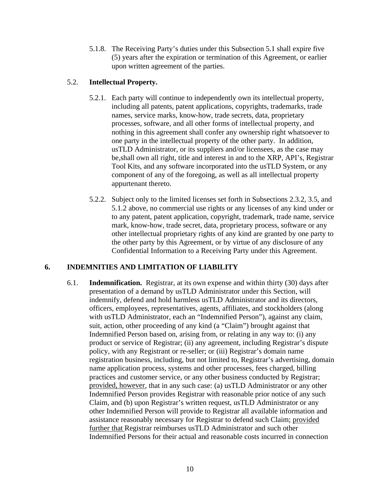5.1.8. The Receiving Party's duties under this Subsection 5.1 shall expire five (5) years after the expiration or termination of this Agreement, or earlier upon written agreement of the parties.

### 5.2. **Intellectual Property.**

- 5.2.1. Each party will continue to independently own its intellectual property, including all patents, patent applications, copyrights, trademarks, trade names, service marks, know-how, trade secrets, data, proprietary processes, software, and all other forms of intellectual property, and nothing in this agreement shall confer any ownership right whatsoever to one party in the intellectual property of the other party. In addition, usTLD Administrator, or its suppliers and/or licensees, as the case may be,shall own all right, title and interest in and to the XRP, API's, Registrar Tool Kits, and any software incorporated into the usTLD System, or any component of any of the foregoing, as well as all intellectual property appurtenant thereto.
- 5.2.2. Subject only to the limited licenses set forth in Subsections 2.3.2, 3.5, and 5.1.2 above, no commercial use rights or any licenses of any kind under or to any patent, patent application, copyright, trademark, trade name, service mark, know-how, trade secret, data, proprietary process, software or any other intellectual proprietary rights of any kind are granted by one party to the other party by this Agreement, or by virtue of any disclosure of any Confidential Information to a Receiving Party under this Agreement.

# **6. INDEMNITIES AND LIMITATION OF LIABILITY**

6.1. **Indemnification.** Registrar, at its own expense and within thirty (30) days after presentation of a demand by usTLD Administrator under this Section, will indemnify, defend and hold harmless usTLD Administrator and its directors, officers, employees, representatives, agents, affiliates, and stockholders (along with usTLD Administrator, each an "Indemnified Person"), against any claim, suit, action, other proceeding of any kind (a "Claim") brought against that Indemnified Person based on, arising from, or relating in any way to: (i) any product or service of Registrar; (ii) any agreement, including Registrar's dispute policy, with any Registrant or re-seller; or (iii) Registrar's domain name registration business, including, but not limited to, Registrar's advertising, domain name application process, systems and other processes, fees charged, billing practices and customer service, or any other business conducted by Registrar; provided, however, that in any such case: (a) usTLD Administrator or any other Indemnified Person provides Registrar with reasonable prior notice of any such Claim, and (b) upon Registrar's written request, usTLD Administrator or any other Indemnified Person will provide to Registrar all available information and assistance reasonably necessary for Registrar to defend such Claim; provided further that Registrar reimburses usTLD Administrator and such other Indemnified Persons for their actual and reasonable costs incurred in connection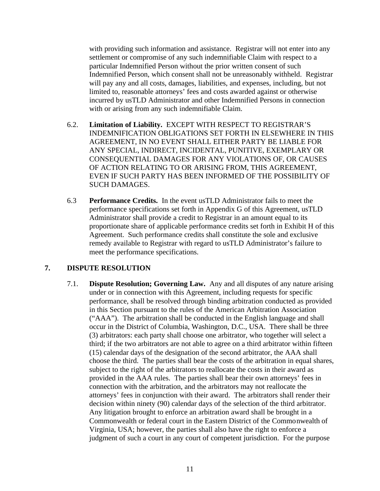with providing such information and assistance. Registrar will not enter into any settlement or compromise of any such indemnifiable Claim with respect to a particular Indemnified Person without the prior written consent of such Indemnified Person, which consent shall not be unreasonably withheld. Registrar will pay any and all costs, damages, liabilities, and expenses, including, but not limited to, reasonable attorneys' fees and costs awarded against or otherwise incurred by usTLD Administrator and other Indemnified Persons in connection with or arising from any such indemnifiable Claim.

- 6.2. **Limitation of Liability.** EXCEPT WITH RESPECT TO REGISTRAR'S INDEMNIFICATION OBLIGATIONS SET FORTH IN ELSEWHERE IN THIS AGREEMENT, IN NO EVENT SHALL EITHER PARTY BE LIABLE FOR ANY SPECIAL, INDIRECT, INCIDENTAL, PUNITIVE, EXEMPLARY OR CONSEQUENTIAL DAMAGES FOR ANY VIOLATIONS OF, OR CAUSES OF ACTION RELATING TO OR ARISING FROM, THIS AGREEMENT, EVEN IF SUCH PARTY HAS BEEN INFORMED OF THE POSSIBILITY OF SUCH DAMAGES.
- 6.3 **Performance Credits.** In the event usTLD Administrator fails to meet the performance specifications set forth in Appendix G of this Agreement, usTLD Administrator shall provide a credit to Registrar in an amount equal to its proportionate share of applicable performance credits set forth in Exhibit H of this Agreement. Such performance credits shall constitute the sole and exclusive remedy available to Registrar with regard to usTLD Administrator's failure to meet the performance specifications.

### **7. DISPUTE RESOLUTION**

7.1. **Dispute Resolution; Governing Law.** Any and all disputes of any nature arising under or in connection with this Agreement, including requests for specific performance, shall be resolved through binding arbitration conducted as provided in this Section pursuant to the rules of the American Arbitration Association ("AAA"). The arbitration shall be conducted in the English language and shall occur in the District of Columbia, Washington, D.C., USA. There shall be three (3) arbitrators: each party shall choose one arbitrator, who together will select a third; if the two arbitrators are not able to agree on a third arbitrator within fifteen (15) calendar days of the designation of the second arbitrator, the AAA shall choose the third. The parties shall bear the costs of the arbitration in equal shares, subject to the right of the arbitrators to reallocate the costs in their award as provided in the AAA rules. The parties shall bear their own attorneys' fees in connection with the arbitration, and the arbitrators may not reallocate the attorneys' fees in conjunction with their award. The arbitrators shall render their decision within ninety (90) calendar days of the selection of the third arbitrator. Any litigation brought to enforce an arbitration award shall be brought in a Commonwealth or federal court in the Eastern District of the Commonwealth of Virginia, USA; however, the parties shall also have the right to enforce a judgment of such a court in any court of competent jurisdiction. For the purpose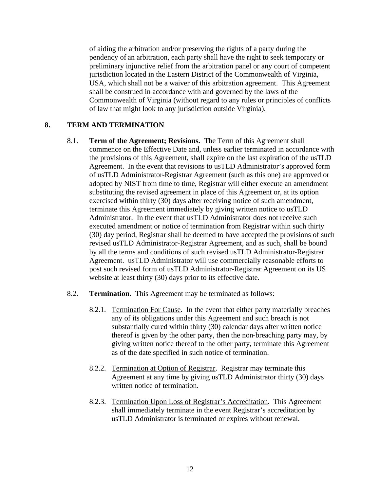of aiding the arbitration and/or preserving the rights of a party during the pendency of an arbitration, each party shall have the right to seek temporary or preliminary injunctive relief from the arbitration panel or any court of competent jurisdiction located in the Eastern District of the Commonwealth of Virginia, USA, which shall not be a waiver of this arbitration agreement. This Agreement shall be construed in accordance with and governed by the laws of the Commonwealth of Virginia (without regard to any rules or principles of conflicts of law that might look to any jurisdiction outside Virginia).

### **8. TERM AND TERMINATION**

- 8.1. **Term of the Agreement; Revisions.** The Term of this Agreement shall commence on the Effective Date and, unless earlier terminated in accordance with the provisions of this Agreement, shall expire on the last expiration of the usTLD Agreement. In the event that revisions to usTLD Administrator's approved form of usTLD Administrator-Registrar Agreement (such as this one) are approved or adopted by NIST from time to time, Registrar will either execute an amendment substituting the revised agreement in place of this Agreement or, at its option exercised within thirty (30) days after receiving notice of such amendment, terminate this Agreement immediately by giving written notice to usTLD Administrator. In the event that usTLD Administrator does not receive such executed amendment or notice of termination from Registrar within such thirty (30) day period, Registrar shall be deemed to have accepted the provisions of such revised usTLD Administrator-Registrar Agreement, and as such, shall be bound by all the terms and conditions of such revised usTLD Administrator-Registrar Agreement. usTLD Administrator will use commercially reasonable efforts to post such revised form of usTLD Administrator-Registrar Agreement on its US website at least thirty (30) days prior to its effective date.
- 8.2. **Termination.** This Agreement may be terminated as follows:
	- 8.2.1. Termination For Cause. In the event that either party materially breaches any of its obligations under this Agreement and such breach is not substantially cured within thirty (30) calendar days after written notice thereof is given by the other party, then the non-breaching party may, by giving written notice thereof to the other party, terminate this Agreement as of the date specified in such notice of termination.
	- 8.2.2. Termination at Option of Registrar. Registrar may terminate this Agreement at any time by giving usTLD Administrator thirty (30) days written notice of termination.
	- 8.2.3. Termination Upon Loss of Registrar's Accreditation. This Agreement shall immediately terminate in the event Registrar's accreditation by usTLD Administrator is terminated or expires without renewal.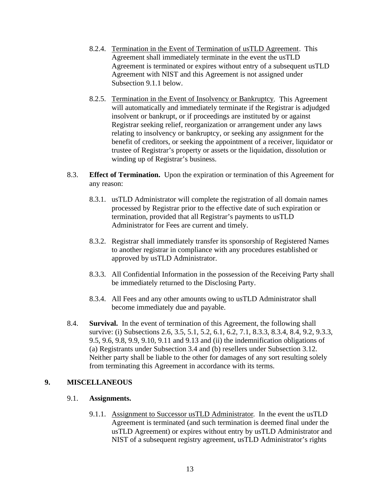- 8.2.4. Termination in the Event of Termination of usTLD Agreement. This Agreement shall immediately terminate in the event the usTLD Agreement is terminated or expires without entry of a subsequent usTLD Agreement with NIST and this Agreement is not assigned under Subsection 9.1.1 below.
- 8.2.5. Termination in the Event of Insolvency or Bankruptcy. This Agreement will automatically and immediately terminate if the Registrar is adjudged insolvent or bankrupt, or if proceedings are instituted by or against Registrar seeking relief, reorganization or arrangement under any laws relating to insolvency or bankruptcy, or seeking any assignment for the benefit of creditors, or seeking the appointment of a receiver, liquidator or trustee of Registrar's property or assets or the liquidation, dissolution or winding up of Registrar's business.
- 8.3. **Effect of Termination.** Upon the expiration or termination of this Agreement for any reason:
	- 8.3.1. usTLD Administrator will complete the registration of all domain names processed by Registrar prior to the effective date of such expiration or termination, provided that all Registrar's payments to usTLD Administrator for Fees are current and timely.
	- 8.3.2. Registrar shall immediately transfer its sponsorship of Registered Names to another registrar in compliance with any procedures established or approved by usTLD Administrator.
	- 8.3.3. All Confidential Information in the possession of the Receiving Party shall be immediately returned to the Disclosing Party.
	- 8.3.4. All Fees and any other amounts owing to usTLD Administrator shall become immediately due and payable.
- 8.4. **Survival.** In the event of termination of this Agreement, the following shall survive: (i) Subsections 2.6, 3.5, 5.1, 5.2, 6.1, 6.2, 7.1, 8.3.3, 8.3.4, 8.4, 9.2, 9.3.3, 9.5, 9.6, 9.8, 9.9, 9.10, 9.11 and 9.13 and (ii) the indemnification obligations of (a) Registrants under Subsection 3.4 and (b) resellers under Subsection 3.12. Neither party shall be liable to the other for damages of any sort resulting solely from terminating this Agreement in accordance with its terms.

### **9. MISCELLANEOUS**

### 9.1. **Assignments.**

9.1.1. Assignment to Successor usTLD Administrator. In the event the usTLD Agreement is terminated (and such termination is deemed final under the usTLD Agreement) or expires without entry by usTLD Administrator and NIST of a subsequent registry agreement, usTLD Administrator's rights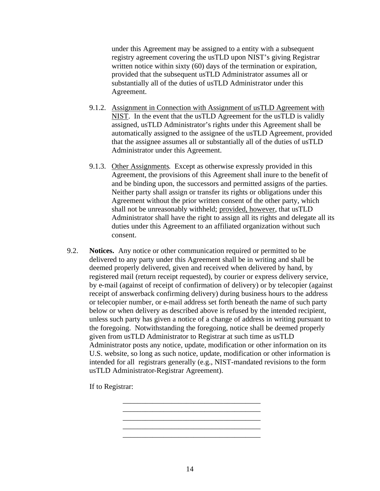under this Agreement may be assigned to a entity with a subsequent registry agreement covering the usTLD upon NIST's giving Registrar written notice within sixty (60) days of the termination or expiration, provided that the subsequent usTLD Administrator assumes all or substantially all of the duties of usTLD Administrator under this Agreement.

- 9.1.2. Assignment in Connection with Assignment of usTLD Agreement with NIST. In the event that the usTLD Agreement for the usTLD is validly assigned, usTLD Administrator's rights under this Agreement shall be automatically assigned to the assignee of the usTLD Agreement, provided that the assignee assumes all or substantially all of the duties of usTLD Administrator under this Agreement.
- 9.1.3. Other Assignments. Except as otherwise expressly provided in this Agreement, the provisions of this Agreement shall inure to the benefit of and be binding upon, the successors and permitted assigns of the parties. Neither party shall assign or transfer its rights or obligations under this Agreement without the prior written consent of the other party, which shall not be unreasonably withheld; provided, however, that usTLD Administrator shall have the right to assign all its rights and delegate all its duties under this Agreement to an affiliated organization without such consent.
- 9.2. **Notices.** Any notice or other communication required or permitted to be delivered to any party under this Agreement shall be in writing and shall be deemed properly delivered, given and received when delivered by hand, by registered mail (return receipt requested), by courier or express delivery service, by e-mail (against of receipt of confirmation of delivery) or by telecopier (against receipt of answerback confirming delivery) during business hours to the address or telecopier number, or e-mail address set forth beneath the name of such party below or when delivery as described above is refused by the intended recipient, unless such party has given a notice of a change of address in writing pursuant to the foregoing. Notwithstanding the foregoing, notice shall be deemed properly given from usTLD Administrator to Registrar at such time as usTLD Administrator posts any notice, update, modification or other information on its U.S. website, so long as such notice, update, modification or other information is intended for all registrars generally (e.g., NIST-mandated revisions to the form usTLD Administrator-Registrar Agreement).

If to Registrar:

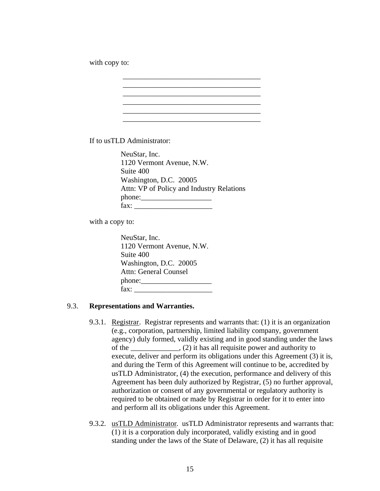with copy to:

If to usTLD Administrator:

NeuStar, Inc. 1120 Vermont Avenue, N.W. Suite 400 Washington, D.C. 20005 Attn: VP of Policy and Industry Relations phone:\_\_\_\_\_\_\_\_\_\_\_\_\_\_\_\_\_\_\_  $\text{fax:}$ 

\_\_\_\_\_\_\_\_\_\_\_\_\_\_\_\_\_\_\_\_\_\_\_\_\_\_\_\_\_\_\_\_\_\_\_\_\_

\_\_\_\_\_\_\_\_\_\_\_\_\_\_\_\_\_\_\_\_\_\_\_\_\_\_\_\_\_\_\_\_\_\_\_\_\_

with a copy to:

NeuStar, Inc. 1120 Vermont Avenue, N.W. Suite 400 Washington, D.C. 20005 Attn: General Counsel phone: fax:  $\frac{1}{2}$ 

#### 9.3. **Representations and Warranties.**

- 9.3.1. Registrar. Registrar represents and warrants that: (1) it is an organization (e.g., corporation, partnership, limited liability company, government agency) duly formed, validly existing and in good standing under the laws of the \_\_\_\_\_\_\_\_\_\_\_\_\_, (2) it has all requisite power and authority to execute, deliver and perform its obligations under this Agreement (3) it is, and during the Term of this Agreement will continue to be, accredited by usTLD Administrator, (4) the execution, performance and delivery of this Agreement has been duly authorized by Registrar, (5) no further approval, authorization or consent of any governmental or regulatory authority is required to be obtained or made by Registrar in order for it to enter into and perform all its obligations under this Agreement.
- 9.3.2. usTLD Administrator. usTLD Administrator represents and warrants that: (1) it is a corporation duly incorporated, validly existing and in good standing under the laws of the State of Delaware, (2) it has all requisite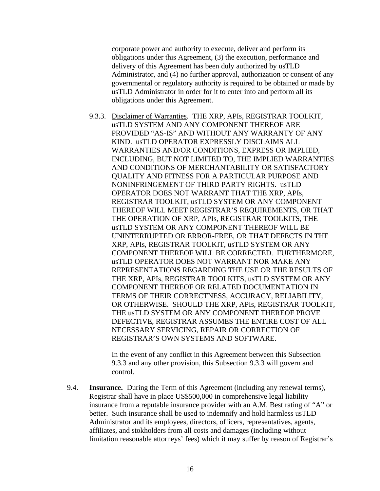corporate power and authority to execute, deliver and perform its obligations under this Agreement, (3) the execution, performance and delivery of this Agreement has been duly authorized by usTLD Administrator, and (4) no further approval, authorization or consent of any governmental or regulatory authority is required to be obtained or made by usTLD Administrator in order for it to enter into and perform all its obligations under this Agreement.

9.3.3. Disclaimer of Warranties. THE XRP, APIs, REGISTRAR TOOLKIT, usTLD SYSTEM AND ANY COMPONENT THEREOF ARE PROVIDED "AS-IS" AND WITHOUT ANY WARRANTY OF ANY KIND. usTLD OPERATOR EXPRESSLY DISCLAIMS ALL WARRANTIES AND/OR CONDITIONS, EXPRESS OR IMPLIED, INCLUDING, BUT NOT LIMITED TO, THE IMPLIED WARRANTIES AND CONDITIONS OF MERCHANTABILITY OR SATISFACTORY QUALITY AND FITNESS FOR A PARTICULAR PURPOSE AND NONINFRINGEMENT OF THIRD PARTY RIGHTS. usTLD OPERATOR DOES NOT WARRANT THAT THE XRP, APIs, REGISTRAR TOOLKIT, usTLD SYSTEM OR ANY COMPONENT THEREOF WILL MEET REGISTRAR'S REQUIREMENTS, OR THAT THE OPERATION OF XRP, APIs, REGISTRAR TOOLKITS, THE usTLD SYSTEM OR ANY COMPONENT THEREOF WILL BE UNINTERRUPTED OR ERROR-FREE, OR THAT DEFECTS IN THE XRP, APIs, REGISTRAR TOOLKIT, usTLD SYSTEM OR ANY COMPONENT THEREOF WILL BE CORRECTED. FURTHERMORE, usTLD OPERATOR DOES NOT WARRANT NOR MAKE ANY REPRESENTATIONS REGARDING THE USE OR THE RESULTS OF THE XRP, APIs, REGISTRAR TOOLKITS, usTLD SYSTEM OR ANY COMPONENT THEREOF OR RELATED DOCUMENTATION IN TERMS OF THEIR CORRECTNESS, ACCURACY, RELIABILITY, OR OTHERWISE. SHOULD THE XRP, APIs, REGISTRAR TOOLKIT, THE usTLD SYSTEM OR ANY COMPONENT THEREOF PROVE DEFECTIVE, REGISTRAR ASSUMES THE ENTIRE COST OF ALL NECESSARY SERVICING, REPAIR OR CORRECTION OF REGISTRAR'S OWN SYSTEMS AND SOFTWARE.

In the event of any conflict in this Agreement between this Subsection 9.3.3 and any other provision, this Subsection 9.3.3 will govern and control.

9.4. **Insurance.** During the Term of this Agreement (including any renewal terms), Registrar shall have in place US\$500,000 in comprehensive legal liability insurance from a reputable insurance provider with an A.M. Best rating of "A" or better. Such insurance shall be used to indemnify and hold harmless usTLD Administrator and its employees, directors, officers, representatives, agents, affiliates, and stokholders from all costs and damages (including without limitation reasonable attorneys' fees) which it may suffer by reason of Registrar's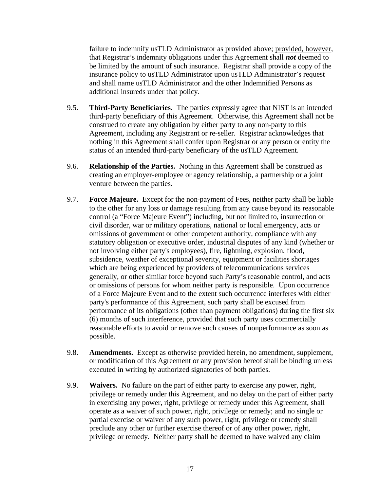failure to indemnify usTLD Administrator as provided above; provided, however, that Registrar's indemnity obligations under this Agreement shall *not* deemed to be limited by the amount of such insurance. Registrar shall provide a copy of the insurance policy to usTLD Administrator upon usTLD Administrator's request and shall name usTLD Administrator and the other Indemnified Persons as additional insureds under that policy.

- 9.5. **Third-Party Beneficiaries.** The parties expressly agree that NIST is an intended third-party beneficiary of this Agreement. Otherwise, this Agreement shall not be construed to create any obligation by either party to any non-party to this Agreement, including any Registrant or re-seller. Registrar acknowledges that nothing in this Agreement shall confer upon Registrar or any person or entity the status of an intended third-party beneficiary of the usTLD Agreement.
- 9.6. **Relationship of the Parties.** Nothing in this Agreement shall be construed as creating an employer-employee or agency relationship, a partnership or a joint venture between the parties.
- 9.7. **Force Majeure.** Except for the non-payment of Fees, neither party shall be liable to the other for any loss or damage resulting from any cause beyond its reasonable control (a "Force Majeure Event") including, but not limited to, insurrection or civil disorder, war or military operations, national or local emergency, acts or omissions of government or other competent authority, compliance with any statutory obligation or executive order, industrial disputes of any kind (whether or not involving either party's employees), fire, lightning, explosion, flood, subsidence, weather of exceptional severity, equipment or facilities shortages which are being experienced by providers of telecommunications services generally, or other similar force beyond such Party's reasonable control, and acts or omissions of persons for whom neither party is responsible. Upon occurrence of a Force Majeure Event and to the extent such occurrence interferes with either party's performance of this Agreement, such party shall be excused from performance of its obligations (other than payment obligations) during the first six (6) months of such interference, provided that such party uses commercially reasonable efforts to avoid or remove such causes of nonperformance as soon as possible.
- 9.8. **Amendments.** Except as otherwise provided herein, no amendment, supplement, or modification of this Agreement or any provision hereof shall be binding unless executed in writing by authorized signatories of both parties.
- 9.9. **Waivers.** No failure on the part of either party to exercise any power, right, privilege or remedy under this Agreement, and no delay on the part of either party in exercising any power, right, privilege or remedy under this Agreement, shall operate as a waiver of such power, right, privilege or remedy; and no single or partial exercise or waiver of any such power, right, privilege or remedy shall preclude any other or further exercise thereof or of any other power, right, privilege or remedy. Neither party shall be deemed to have waived any claim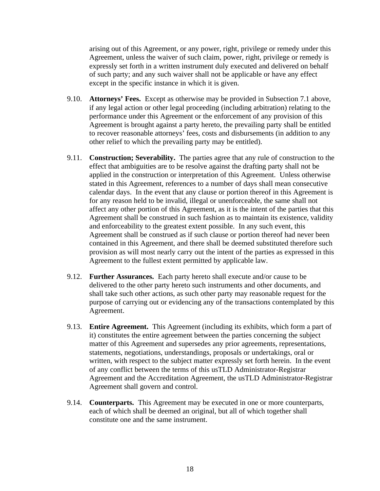arising out of this Agreement, or any power, right, privilege or remedy under this Agreement, unless the waiver of such claim, power, right, privilege or remedy is expressly set forth in a written instrument duly executed and delivered on behalf of such party; and any such waiver shall not be applicable or have any effect except in the specific instance in which it is given.

- 9.10. **Attorneys' Fees.** Except as otherwise may be provided in Subsection 7.1 above, if any legal action or other legal proceeding (including arbitration) relating to the performance under this Agreement or the enforcement of any provision of this Agreement is brought against a party hereto, the prevailing party shall be entitled to recover reasonable attorneys' fees, costs and disbursements (in addition to any other relief to which the prevailing party may be entitled).
- 9.11. **Construction; Severability.** The parties agree that any rule of construction to the effect that ambiguities are to be resolve against the drafting party shall not be applied in the construction or interpretation of this Agreement. Unless otherwise stated in this Agreement, references to a number of days shall mean consecutive calendar days. In the event that any clause or portion thereof in this Agreement is for any reason held to be invalid, illegal or unenforceable, the same shall not affect any other portion of this Agreement, as it is the intent of the parties that this Agreement shall be construed in such fashion as to maintain its existence, validity and enforceability to the greatest extent possible. In any such event, this Agreement shall be construed as if such clause or portion thereof had never been contained in this Agreement, and there shall be deemed substituted therefore such provision as will most nearly carry out the intent of the parties as expressed in this Agreement to the fullest extent permitted by applicable law.
- 9.12. **Further Assurances.** Each party hereto shall execute and/or cause to be delivered to the other party hereto such instruments and other documents, and shall take such other actions, as such other party may reasonable request for the purpose of carrying out or evidencing any of the transactions contemplated by this Agreement.
- 9.13. **Entire Agreement.** This Agreement (including its exhibits, which form a part of it) constitutes the entire agreement between the parties concerning the subject matter of this Agreement and supersedes any prior agreements, representations, statements, negotiations, understandings, proposals or undertakings, oral or written, with respect to the subject matter expressly set forth herein. In the event of any conflict between the terms of this usTLD Administrator-Registrar Agreement and the Accreditation Agreement, the usTLD Administrator-Registrar Agreement shall govern and control.
- 9.14. **Counterparts.** This Agreement may be executed in one or more counterparts, each of which shall be deemed an original, but all of which together shall constitute one and the same instrument.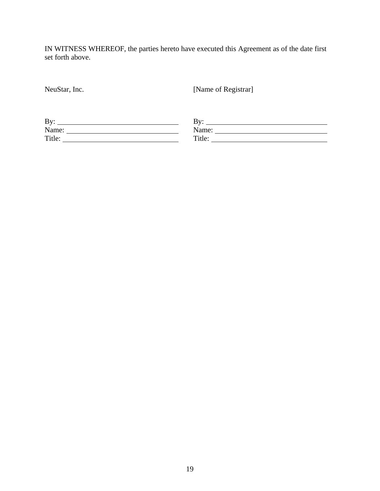IN WITNESS WHEREOF, the parties hereto have executed this Agreement as of the date first set forth above.

| NeuStar, Inc.                                                                                          | [Name of Registrar]                                                                                                                                                                                                                                                                                                                                                                                           |  |  |
|--------------------------------------------------------------------------------------------------------|---------------------------------------------------------------------------------------------------------------------------------------------------------------------------------------------------------------------------------------------------------------------------------------------------------------------------------------------------------------------------------------------------------------|--|--|
|                                                                                                        |                                                                                                                                                                                                                                                                                                                                                                                                               |  |  |
| By:<br>the contract of the contract of the contract of the contract of the contract of the contract of | By:                                                                                                                                                                                                                                                                                                                                                                                                           |  |  |
|                                                                                                        | Name: $\frac{1}{\sqrt{1-\frac{1}{2}}\sqrt{1-\frac{1}{2}}\sqrt{1-\frac{1}{2}}\sqrt{1-\frac{1}{2}}\sqrt{1-\frac{1}{2}}\sqrt{1-\frac{1}{2}}\sqrt{1-\frac{1}{2}}\sqrt{1-\frac{1}{2}}\sqrt{1-\frac{1}{2}}\sqrt{1-\frac{1}{2}}\sqrt{1-\frac{1}{2}}\sqrt{1-\frac{1}{2}}\sqrt{1-\frac{1}{2}}\sqrt{1-\frac{1}{2}}\sqrt{1-\frac{1}{2}}\sqrt{1-\frac{1}{2}}\sqrt{1-\frac{1}{2}}\sqrt{1-\frac{1}{2}}\sqrt{1-\frac{1}{2}}$ |  |  |
| Title:<br><u> 1989 - John Stein, Amerikaansk politiker (</u>                                           | Title:                                                                                                                                                                                                                                                                                                                                                                                                        |  |  |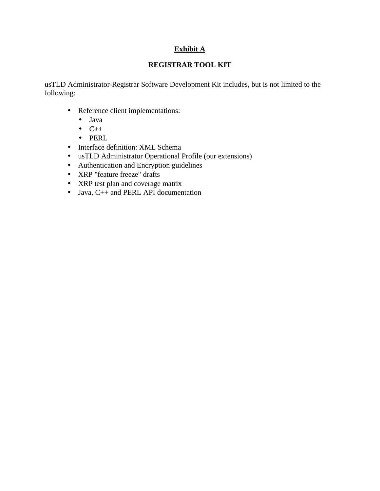# **Exhibit A**

# **REGISTRAR TOOL KIT**

usTLD Administrator-Registrar Software Development Kit includes, but is not limited to the following:

- Reference client implementations:
	- Java
	- $\bullet$   $C++$
	- PERL
- Interface definition: XML Schema
- usTLD Administrator Operational Profile (our extensions)
- Authentication and Encryption guidelines
- XRP "feature freeze" drafts
- XRP test plan and coverage matrix
- Java, C++ and PERL API documentation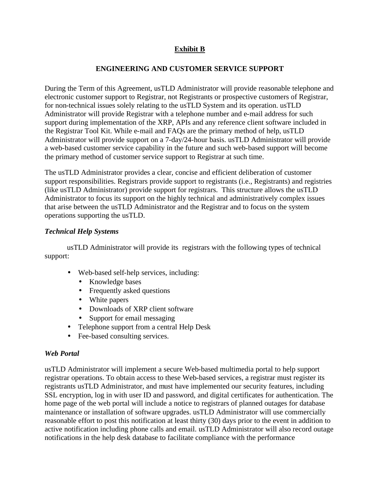# **Exhibit B**

### **ENGINEERING AND CUSTOMER SERVICE SUPPORT**

During the Term of this Agreement, usTLD Administrator will provide reasonable telephone and electronic customer support to Registrar, not Registrants or prospective customers of Registrar, for non-technical issues solely relating to the usTLD System and its operation. usTLD Administrator will provide Registrar with a telephone number and e-mail address for such support during implementation of the XRP, APIs and any reference client software included in the Registrar Tool Kit. While e-mail and FAQs are the primary method of help, usTLD Administrator will provide support on a 7-day/24-hour basis. usTLD Administrator will provide a web-based customer service capability in the future and such web-based support will become the primary method of customer service support to Registrar at such time.

The usTLD Administrator provides a clear, concise and efficient deliberation of customer support responsibilities. Registrars provide support to registrants (i.e., Registrants) and registries (like usTLD Administrator) provide support for registrars. This structure allows the usTLD Administrator to focus its support on the highly technical and administratively complex issues that arise between the usTLD Administrator and the Registrar and to focus on the system operations supporting the usTLD.

### *Technical Help Systems*

usTLD Administrator will provide its registrars with the following types of technical support:

- Web-based self-help services, including:
	- Knowledge bases
	- Frequently asked questions
	- White papers
	- Downloads of XRP client software
	- Support for email messaging
- Telephone support from a central Help Desk
- Fee-based consulting services.

### *Web Portal*

usTLD Administrator will implement a secure Web-based multimedia portal to help support registrar operations. To obtain access to these Web-based services, a registrar must register its registrants usTLD Administrator, and must have implemented our security features, including SSL encryption, log in with user ID and password, and digital certificates for authentication. The home page of the web portal will include a notice to registrars of planned outages for database maintenance or installation of software upgrades. usTLD Administrator will use commercially reasonable effort to post this notification at least thirty (30) days prior to the event in addition to active notification including phone calls and email. usTLD Administrator will also record outage notifications in the help desk database to facilitate compliance with the performance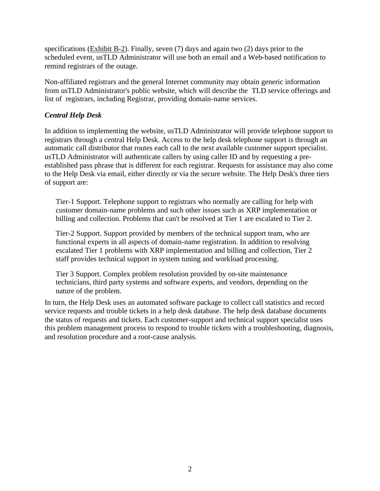specifications (Exhibit B-2). Finally, seven (7) days and again two (2) days prior to the scheduled event, usTLD Administrator will use both an email and a Web-based notification to remind registrars of the outage.

Non-affiliated registrars and the general Internet community may obtain generic information from usTLD Administrator's public website, which will describe the TLD service offerings and list of registrars, including Registrar, providing domain-name services.

# *Central Help Desk*

In addition to implementing the website, usTLD Administrator will provide telephone support to registrars through a central Help Desk. Access to the help desk telephone support is through an automatic call distributor that routes each call to the next available customer support specialist. usTLD Administrator will authenticate callers by using caller ID and by requesting a preestablished pass phrase that is different for each registrar. Requests for assistance may also come to the Help Desk via email, either directly or via the secure website. The Help Desk's three tiers of support are:

Tier-1 Support. Telephone support to registrars who normally are calling for help with customer domain-name problems and such other issues such as XRP implementation or billing and collection. Problems that can't be resolved at Tier 1 are escalated to Tier 2.

Tier-2 Support. Support provided by members of the technical support team, who are functional experts in all aspects of domain-name registration. In addition to resolving escalated Tier 1 problems with XRP implementation and billing and collection, Tier 2 staff provides technical support in system tuning and workload processing.

Tier 3 Support. Complex problem resolution provided by on-site maintenance technicians, third party systems and software experts, and vendors, depending on the nature of the problem.

In turn, the Help Desk uses an automated software package to collect call statistics and record service requests and trouble tickets in a help desk database. The help desk database documents the status of requests and tickets. Each customer-support and technical support specialist uses this problem management process to respond to trouble tickets with a troubleshooting, diagnosis, and resolution procedure and a root-cause analysis.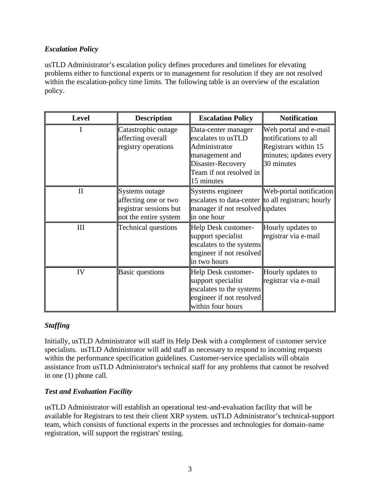# *Escalation Policy*

usTLD Administrator's escalation policy defines procedures and timelines for elevating problems either to functional experts or to management for resolution if they are not resolved within the escalation-policy time limits. The following table is an overview of the escalation policy.

| <b>Level</b> | <b>Description</b>                                                                        | <b>Escalation Policy</b>                                                                                                                   | <b>Notification</b>                                                                                           |
|--------------|-------------------------------------------------------------------------------------------|--------------------------------------------------------------------------------------------------------------------------------------------|---------------------------------------------------------------------------------------------------------------|
| I.           | Catastrophic outage<br>affecting overall<br>registry operations                           | Data-center manager<br>escalates to usTLD<br>Administrator<br>management and<br>Disaster-Recovery<br>Team if not resolved in<br>15 minutes | Web portal and e-mail<br>notifications to all<br>Registrars within 15<br>minutes; updates every<br>30 minutes |
| $\mathbf{I}$ | Systems outage<br>affecting one or two<br>registrar sessions but<br>not the entire system | Systems engineer<br>escalates to data-center to all registrars; hourly<br>manager if not resolved updates<br>in one hour                   | Web-portal notification                                                                                       |
| III          | <b>Technical questions</b>                                                                | Help Desk customer-<br>support specialist<br>escalates to the systems<br>engineer if not resolved<br>in two hours                          | Hourly updates to<br>registrar via e-mail                                                                     |
| IV           | <b>Basic questions</b>                                                                    | Help Desk customer-<br>support specialist<br>escalates to the systems<br>engineer if not resolved<br>within four hours                     | Hourly updates to<br>registrar via e-mail                                                                     |

# *Staffing*

Initially, usTLD Administrator will staff its Help Desk with a complement of customer service specialists. usTLD Administrator will add staff as necessary to respond to incoming requests within the performance specification guidelines. Customer-service specialists will obtain assistance from usTLD Administrator's technical staff for any problems that cannot be resolved in one (1) phone call.

### *Test and Evaluation Facility*

usTLD Administrator will establish an operational test-and-evaluation facility that will be available for Registrars to test their client XRP system. usTLD Administrator's technical-support team, which consists of functional experts in the processes and technologies for domain-name registration, will support the registrars' testing.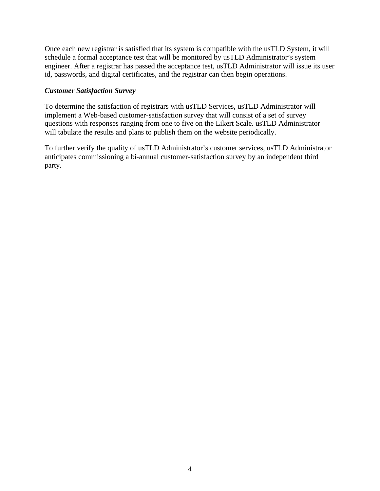Once each new registrar is satisfied that its system is compatible with the usTLD System, it will schedule a formal acceptance test that will be monitored by usTLD Administrator's system engineer. After a registrar has passed the acceptance test, usTLD Administrator will issue its user id, passwords, and digital certificates, and the registrar can then begin operations.

### *Customer Satisfaction Survey*

To determine the satisfaction of registrars with usTLD Services, usTLD Administrator will implement a Web-based customer-satisfaction survey that will consist of a set of survey questions with responses ranging from one to five on the Likert Scale. usTLD Administrator will tabulate the results and plans to publish them on the website periodically.

To further verify the quality of usTLD Administrator's customer services, usTLD Administrator anticipates commissioning a bi-annual customer-satisfaction survey by an independent third party.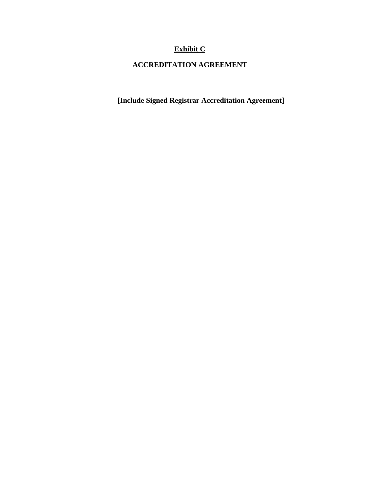# **Exhibit C**

# **ACCREDITATION AGREEMENT**

**[Include Signed Registrar Accreditation Agreement]**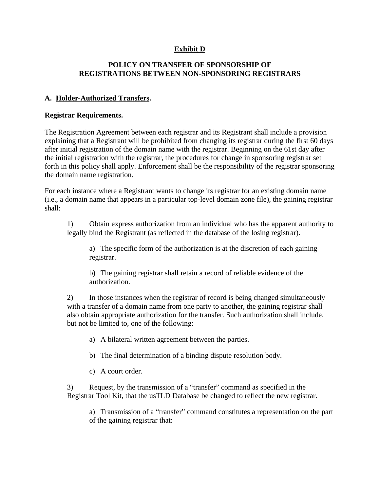### **Exhibit D**

### **POLICY ON TRANSFER OF SPONSORSHIP OF REGISTRATIONS BETWEEN NON-SPONSORING REGISTRARS**

### **A. Holder-Authorized Transfers.**

### **Registrar Requirements.**

The Registration Agreement between each registrar and its Registrant shall include a provision explaining that a Registrant will be prohibited from changing its registrar during the first 60 days after initial registration of the domain name with the registrar. Beginning on the 61st day after the initial registration with the registrar, the procedures for change in sponsoring registrar set forth in this policy shall apply. Enforcement shall be the responsibility of the registrar sponsoring the domain name registration.

For each instance where a Registrant wants to change its registrar for an existing domain name (i.e., a domain name that appears in a particular top-level domain zone file), the gaining registrar shall:

1) Obtain express authorization from an individual who has the apparent authority to legally bind the Registrant (as reflected in the database of the losing registrar).

a) The specific form of the authorization is at the discretion of each gaining registrar.

b) The gaining registrar shall retain a record of reliable evidence of the authorization.

2) In those instances when the registrar of record is being changed simultaneously with a transfer of a domain name from one party to another, the gaining registrar shall also obtain appropriate authorization for the transfer. Such authorization shall include, but not be limited to, one of the following:

a) A bilateral written agreement between the parties.

- b) The final determination of a binding dispute resolution body.
- c) A court order.

3) Request, by the transmission of a "transfer" command as specified in the Registrar Tool Kit, that the usTLD Database be changed to reflect the new registrar.

a) Transmission of a "transfer" command constitutes a representation on the part of the gaining registrar that: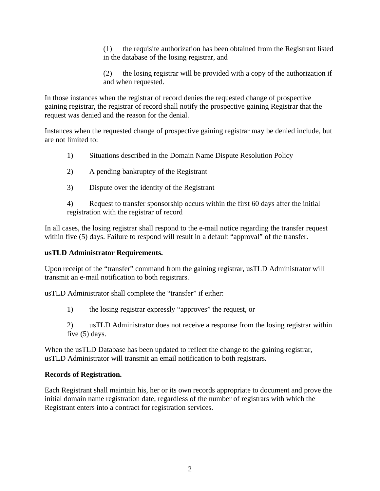(1) the requisite authorization has been obtained from the Registrant listed in the database of the losing registrar, and

(2) the losing registrar will be provided with a copy of the authorization if and when requested.

In those instances when the registrar of record denies the requested change of prospective gaining registrar, the registrar of record shall notify the prospective gaining Registrar that the request was denied and the reason for the denial.

Instances when the requested change of prospective gaining registrar may be denied include, but are not limited to:

- 1) Situations described in the Domain Name Dispute Resolution Policy
- 2) A pending bankruptcy of the Registrant
- 3) Dispute over the identity of the Registrant

4) Request to transfer sponsorship occurs within the first 60 days after the initial registration with the registrar of record

In all cases, the losing registrar shall respond to the e-mail notice regarding the transfer request within five (5) days. Failure to respond will result in a default "approval" of the transfer.

# **usTLD Administrator Requirements.**

Upon receipt of the "transfer" command from the gaining registrar, usTLD Administrator will transmit an e-mail notification to both registrars.

usTLD Administrator shall complete the "transfer" if either:

1) the losing registrar expressly "approves" the request, or

2) usTLD Administrator does not receive a response from the losing registrar within five (5) days.

When the usTLD Database has been updated to reflect the change to the gaining registrar, usTLD Administrator will transmit an email notification to both registrars.

# **Records of Registration.**

Each Registrant shall maintain his, her or its own records appropriate to document and prove the initial domain name registration date, regardless of the number of registrars with which the Registrant enters into a contract for registration services.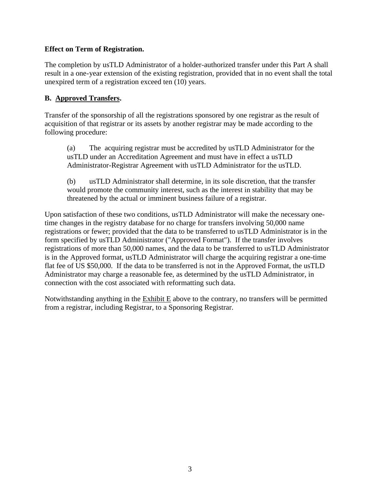### **Effect on Term of Registration.**

The completion by usTLD Administrator of a holder-authorized transfer under this Part A shall result in a one-year extension of the existing registration, provided that in no event shall the total unexpired term of a registration exceed ten (10) years.

### **B. Approved Transfers.**

Transfer of the sponsorship of all the registrations sponsored by one registrar as the result of acquisition of that registrar or its assets by another registrar may be made according to the following procedure:

(a) The acquiring registrar must be accredited by usTLD Administrator for the usTLD under an Accreditation Agreement and must have in effect a usTLD Administrator-Registrar Agreement with usTLD Administrator for the usTLD.

(b) usTLD Administrator shall determine, in its sole discretion, that the transfer would promote the community interest, such as the interest in stability that may be threatened by the actual or imminent business failure of a registrar.

Upon satisfaction of these two conditions, usTLD Administrator will make the necessary onetime changes in the registry database for no charge for transfers involving 50,000 name registrations or fewer; provided that the data to be transferred to usTLD Administrator is in the form specified by usTLD Administrator ("Approved Format"). If the transfer involves registrations of more than 50,000 names, and the data to be transferred to usTLD Administrator is in the Approved format, usTLD Administrator will charge the acquiring registrar a one-time flat fee of US \$50,000. If the data to be transferred is not in the Approved Format, the usTLD Administrator may charge a reasonable fee, as determined by the usTLD Administrator, in connection with the cost associated with reformatting such data.

Notwithstanding anything in the Exhibit E above to the contrary, no transfers will be permitted from a registrar, including Registrar, to a Sponsoring Registrar.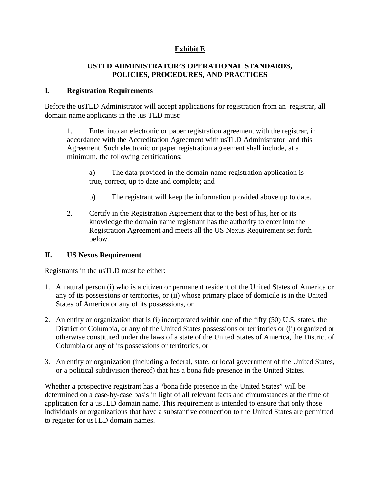# **Exhibit E**

### **USTLD ADMINISTRATOR'S OPERATIONAL STANDARDS, POLICIES, PROCEDURES, AND PRACTICES**

### **I. Registration Requirements**

Before the usTLD Administrator will accept applications for registration from an registrar, all domain name applicants in the .us TLD must:

1. Enter into an electronic or paper registration agreement with the registrar, in accordance with the Accreditation Agreement with usTLD Administrator and this Agreement. Such electronic or paper registration agreement shall include, at a minimum, the following certifications:

a) The data provided in the domain name registration application is true, correct, up to date and complete; and

- b) The registrant will keep the information provided above up to date.
- 2. Certify in the Registration Agreement that to the best of his, her or its knowledge the domain name registrant has the authority to enter into the Registration Agreement and meets all the US Nexus Requirement set forth below.

### **II. US Nexus Requirement**

Registrants in the usTLD must be either:

- 1. A natural person (i) who is a citizen or permanent resident of the United States of America or any of its possessions or territories, or (ii) whose primary place of domicile is in the United States of America or any of its possessions, or
- 2. An entity or organization that is (i) incorporated within one of the fifty (50) U.S. states, the District of Columbia, or any of the United States possessions or territories or (ii) organized or otherwise constituted under the laws of a state of the United States of America, the District of Columbia or any of its possessions or territories, or
- 3. An entity or organization (including a federal, state, or local government of the United States, or a political subdivision thereof) that has a bona fide presence in the United States.

Whether a prospective registrant has a "bona fide presence in the United States" will be determined on a case-by-case basis in light of all relevant facts and circumstances at the time of application for a usTLD domain name. This requirement is intended to ensure that only those individuals or organizations that have a substantive connection to the United States are permitted to register for usTLD domain names.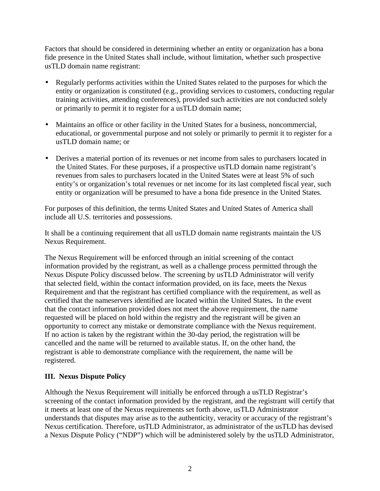Factors that should be considered in determining whether an entity or organization has a bona fide presence in the United States shall include, without limitation, whether such prospective usTLD domain name registrant:

- Regularly performs activities within the United States related to the purposes for which the entity or organization is constituted (e.g., providing services to customers, conducting regular training activities, attending conferences), provided such activities are not conducted solely or primarily to permit it to register for a usTLD domain name;
- Maintains an office or other facility in the United States for a business, noncommercial, educational, or governmental purpose and not solely or primarily to permit it to register for a usTLD domain name; or
- Derives a material portion of its revenues or net income from sales to purchasers located in the United States. For these purposes, if a prospective usTLD domain name registrant's revenues from sales to purchasers located in the United States were at least 5% of such entity's or organization's total revenues or net income for its last completed fiscal year, such entity or organization will be presumed to have a bona fide presence in the United States.

For purposes of this definition, the terms United States and United States of America shall include all U.S. territories and possessions.

It shall be a continuing requirement that all usTLD domain name registrants maintain the US Nexus Requirement.

The Nexus Requirement will be enforced through an initial screening of the contact information provided by the registrant, as well as a challenge process permitted through the Nexus Dispute Policy discussed below. The screening by usTLD Administrator will verify that selected field, within the contact information provided, on its face, meets the Nexus Requirement and that the registrant has certified compliance with the requirement, as well as certified that the nameservers identified are located within the United States**.** In the event that the contact information provided does not meet the above requirement, the name requested will be placed on hold within the registry and the registrant will be given an opportunity to correct any mistake or demonstrate compliance with the Nexus requirement. If no action is taken by the registrant within the 30-day period, the registration will be cancelled and the name will be returned to available status. If, on the other hand, the registrant is able to demonstrate compliance with the requirement, the name will be registered.

### **III. Nexus Dispute Policy**

Although the Nexus Requirement will initially be enforced through a usTLD Registrar's screening of the contact information provided by the registrant, and the registrant will certify that it meets at least one of the Nexus requirements set forth above, usTLD Administrator understands that disputes may arise as to the authenticity, veracity or accuracy of the registrant's Nexus certification. Therefore, usTLD Administrator, as administrator of the usTLD has devised a Nexus Dispute Policy ("NDP") which will be administered solely by the usTLD Administrator,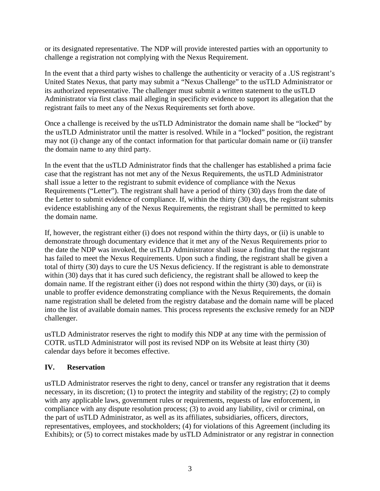or its designated representative. The NDP will provide interested parties with an opportunity to challenge a registration not complying with the Nexus Requirement.

In the event that a third party wishes to challenge the authenticity or veracity of a .US registrant's United States Nexus, that party may submit a "Nexus Challenge" to the usTLD Administrator or its authorized representative. The challenger must submit a written statement to the usTLD Administrator via first class mail alleging in specificity evidence to support its allegation that the registrant fails to meet any of the Nexus Requirements set forth above.

Once a challenge is received by the usTLD Administrator the domain name shall be "locked" by the usTLD Administrator until the matter is resolved. While in a "locked" position, the registrant may not (i) change any of the contact information for that particular domain name or (ii) transfer the domain name to any third party.

In the event that the usTLD Administrator finds that the challenger has established a prima facie case that the registrant has not met any of the Nexus Requirements, the usTLD Administrator shall issue a letter to the registrant to submit evidence of compliance with the Nexus Requirements ("Letter"). The registrant shall have a period of thirty (30) days from the date of the Letter to submit evidence of compliance. If, within the thirty (30) days, the registrant submits evidence establishing any of the Nexus Requirements, the registrant shall be permitted to keep the domain name.

If, however, the registrant either (i) does not respond within the thirty days, or (ii) is unable to demonstrate through documentary evidence that it met any of the Nexus Requirements prior to the date the NDP was invoked, the usTLD Administrator shall issue a finding that the registrant has failed to meet the Nexus Requirements. Upon such a finding, the registrant shall be given a total of thirty (30) days to cure the US Nexus deficiency. If the registrant is able to demonstrate within (30) days that it has cured such deficiency, the registrant shall be allowed to keep the domain name. If the registrant either (i) does not respond within the thirty (30) days, or (ii) is unable to proffer evidence demonstrating compliance with the Nexus Requirements, the domain name registration shall be deleted from the registry database and the domain name will be placed into the list of available domain names. This process represents the exclusive remedy for an NDP challenger.

usTLD Administrator reserves the right to modify this NDP at any time with the permission of COTR. usTLD Administrator will post its revised NDP on its Website at least thirty (30) calendar days before it becomes effective.

# **IV. Reservation**

usTLD Administrator reserves the right to deny, cancel or transfer any registration that it deems necessary, in its discretion; (1) to protect the integrity and stability of the registry; (2) to comply with any applicable laws, government rules or requirements, requests of law enforcement, in compliance with any dispute resolution process; (3) to avoid any liability, civil or criminal, on the part of usTLD Administrator, as well as its affiliates, subsidiaries, officers, directors, representatives, employees, and stockholders; (4) for violations of this Agreement (including its Exhibits); or (5) to correct mistakes made by usTLD Administrator or any registrar in connection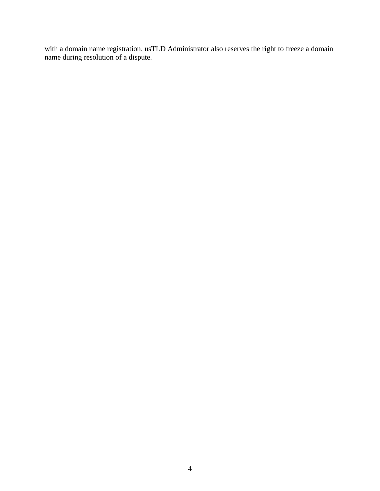with a domain name registration. usTLD Administrator also reserves the right to freeze a domain name during resolution of a dispute.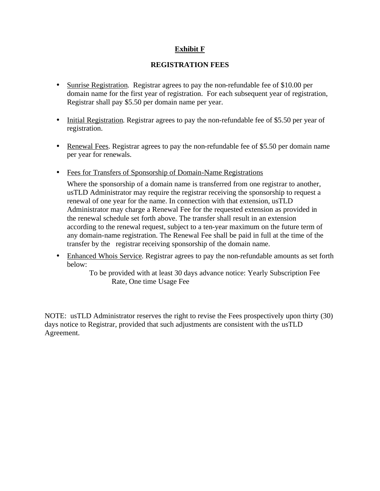# **Exhibit F**

### **REGISTRATION FEES**

- Sunrise Registration. Registrar agrees to pay the non-refundable fee of \$10.00 per domain name for the first year of registration. For each subsequent year of registration, Registrar shall pay \$5.50 per domain name per year.
- Initial Registration. Registrar agrees to pay the non-refundable fee of \$5.50 per year of registration.
- Renewal Fees. Registrar agrees to pay the non-refundable fee of \$5.50 per domain name per year for renewals.
- Fees for Transfers of Sponsorship of Domain-Name Registrations

Where the sponsorship of a domain name is transferred from one registrar to another, usTLD Administrator may require the registrar receiving the sponsorship to request a renewal of one year for the name. In connection with that extension, usTLD Administrator may charge a Renewal Fee for the requested extension as provided in the renewal schedule set forth above. The transfer shall result in an extension according to the renewal request, subject to a ten-year maximum on the future term of any domain-name registration. The Renewal Fee shall be paid in full at the time of the transfer by the registrar receiving sponsorship of the domain name.

• Enhanced Whois Service. Registrar agrees to pay the non-refundable amounts as set forth below:

> To be provided with at least 30 days advance notice: Yearly Subscription Fee Rate, One time Usage Fee

NOTE: usTLD Administrator reserves the right to revise the Fees prospectively upon thirty (30) days notice to Registrar, provided that such adjustments are consistent with the usTLD Agreement.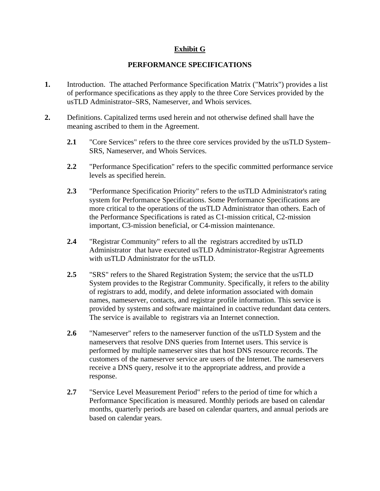### **Exhibit G**

### **PERFORMANCE SPECIFICATIONS**

- **1.** Introduction. The attached Performance Specification Matrix ("Matrix") provides a list of performance specifications as they apply to the three Core Services provided by the usTLD Administrator–SRS, Nameserver, and Whois services.
- **2.** Definitions. Capitalized terms used herein and not otherwise defined shall have the meaning ascribed to them in the Agreement.
	- **2.1** "Core Services" refers to the three core services provided by the usTLD System– SRS, Nameserver, and Whois Services.
	- **2.2** "Performance Specification" refers to the specific committed performance service levels as specified herein.
	- **2.3** "Performance Specification Priority" refers to the usTLD Administrator's rating system for Performance Specifications. Some Performance Specifications are more critical to the operations of the usTLD Administrator than others. Each of the Performance Specifications is rated as C1-mission critical, C2-mission important, C3-mission beneficial, or C4-mission maintenance.
	- **2.4** "Registrar Community" refers to all the registrars accredited by usTLD Administrator that have executed usTLD Administrator-Registrar Agreements with usTLD Administrator for the usTLD.
	- **2.5** "SRS" refers to the Shared Registration System; the service that the usTLD System provides to the Registrar Community. Specifically, it refers to the ability of registrars to add, modify, and delete information associated with domain names, nameserver, contacts, and registrar profile information. This service is provided by systems and software maintained in coactive redundant data centers. The service is available to registrars via an Internet connection.
	- **2.6** "Nameserver" refers to the nameserver function of the usTLD System and the nameservers that resolve DNS queries from Internet users. This service is performed by multiple nameserver sites that host DNS resource records. The customers of the nameserver service are users of the Internet. The nameservers receive a DNS query, resolve it to the appropriate address, and provide a response.
	- **2.7** "Service Level Measurement Period" refers to the period of time for which a Performance Specification is measured. Monthly periods are based on calendar months, quarterly periods are based on calendar quarters, and annual periods are based on calendar years.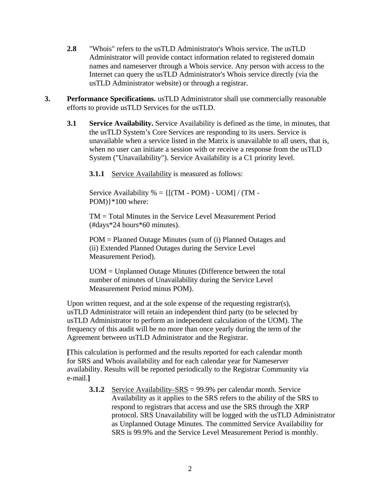- **2.8** "Whois" refers to the usTLD Administrator's Whois service. The usTLD Administrator will provide contact information related to registered domain names and nameserver through a Whois service. Any person with access to the Internet can query the usTLD Administrator's Whois service directly (via the usTLD Administrator website) or through a registrar.
- **3. Performance Specifications.** usTLD Administrator shall use commercially reasonable efforts to provide usTLD Services for the usTLD.
	- **3.1 Service Availability.** Service Availability is defined as the time, in minutes, that the usTLD System's Core Services are responding to its users. Service is unavailable when a service listed in the Matrix is unavailable to all users, that is, when no user can initiate a session with or receive a response from the usTLD System ("Unavailability"). Service Availability is a C1 priority level.
		- **3.1.1** Service Availability is measured as follows:

Service Availability  $\% = \{[(TM - POM) - UOM] / (TM -$ POM)}\*100 where:

TM = Total Minutes in the Service Level Measurement Period (#days\*24 hours\*60 minutes).

POM = Planned Outage Minutes (sum of (i) Planned Outages and (ii) Extended Planned Outages during the Service Level Measurement Period).

UOM = Unplanned Outage Minutes (Difference between the total number of minutes of Unavailability during the Service Level Measurement Period minus POM).

Upon written request, and at the sole expense of the requesting registrar(s), usTLD Administrator will retain an independent third party (to be selected by usTLD Administrator to perform an independent calculation of the UOM). The frequency of this audit will be no more than once yearly during the term of the Agreement between usTLD Administrator and the Registrar.

**[**This calculation is performed and the results reported for each calendar month for SRS and Whois availability and for each calendar year for Nameserver availability. Results will be reported periodically to the Registrar Community via e-mail.**]**

**3.1.2** Service Availability–SRS = 99.9% per calendar month. Service Availability as it applies to the SRS refers to the ability of the SRS to respond to registrars that access and use the SRS through the XRP protocol. SRS Unavailability will be logged with the usTLD Administrator as Unplanned Outage Minutes. The committed Service Availability for SRS is 99.9% and the Service Level Measurement Period is monthly.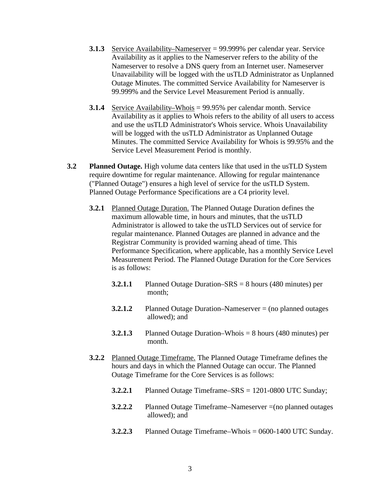- **3.1.3** Service Availability–Nameserver = 99.999% per calendar year. Service Availability as it applies to the Nameserver refers to the ability of the Nameserver to resolve a DNS query from an Internet user. Nameserver Unavailability will be logged with the usTLD Administrator as Unplanned Outage Minutes. The committed Service Availability for Nameserver is 99.999% and the Service Level Measurement Period is annually.
- **3.1.4** Service Availability–Whois = 99.95% per calendar month. Service Availability as it applies to Whois refers to the ability of all users to access and use the usTLD Administrator's Whois service. Whois Unavailability will be logged with the usTLD Administrator as Unplanned Outage Minutes. The committed Service Availability for Whois is 99.95% and the Service Level Measurement Period is monthly.
- **3.2 Planned Outage.** High volume data centers like that used in the usTLD System require downtime for regular maintenance. Allowing for regular maintenance ("Planned Outage") ensures a high level of service for the usTLD System. Planned Outage Performance Specifications are a C4 priority level.
	- **3.2.1** Planned Outage Duration. The Planned Outage Duration defines the maximum allowable time, in hours and minutes, that the usTLD Administrator is allowed to take the usTLD Services out of service for regular maintenance. Planned Outages are planned in advance and the Registrar Community is provided warning ahead of time. This Performance Specification, where applicable, has a monthly Service Level Measurement Period. The Planned Outage Duration for the Core Services is as follows:
		- **3.2.1.1** Planned Outage Duration–SRS = 8 hours (480 minutes) per month;
		- **3.2.1.2** Planned Outage Duration–Nameserver = (no planned outages allowed); and
		- **3.2.1.3** Planned Outage Duration–Whois = 8 hours (480 minutes) per month.
	- **3.2.2** Planned Outage Timeframe. The Planned Outage Timeframe defines the hours and days in which the Planned Outage can occur. The Planned Outage Timeframe for the Core Services is as follows:
		- **3.2.2.1** Planned Outage Timeframe–SRS = 1201-0800 UTC Sunday;
		- **3.2.2.2** Planned Outage Timeframe–Nameserver =(no planned outages allowed); and
		- **3.2.2.3** Planned Outage Timeframe–Whois = 0600-1400 UTC Sunday.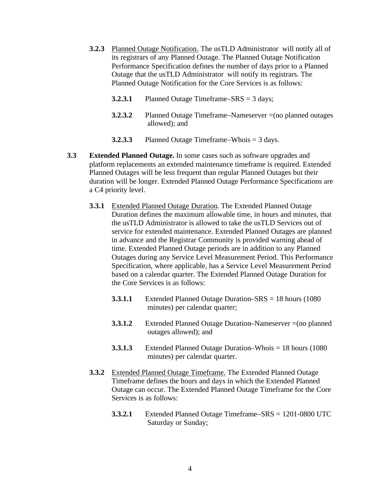- **3.2.3** Planned Outage Notification. The usTLD Administrator will notify all of its registrars of any Planned Outage. The Planned Outage Notification Performance Specification defines the number of days prior to a Planned Outage that the usTLD Administrator will notify its registrars. The Planned Outage Notification for the Core Services is as follows:
	- **3.2.3.1** Planned Outage Timeframe–SRS = 3 days;
	- **3.2.3.2** Planned Outage Timeframe–Nameserver =(no planned outages allowed); and
	- **3.2.3.3** Planned Outage Timeframe–Whois = 3 days.
- **3.3 Extended Planned Outage.** In some cases such as software upgrades and platform replacements an extended maintenance timeframe is required. Extended Planned Outages will be less frequent than regular Planned Outages but their duration will be longer. Extended Planned Outage Performance Specifications are a C4 priority level.
	- **3.3.1** Extended Planned Outage Duration. The Extended Planned Outage Duration defines the maximum allowable time, in hours and minutes, that the usTLD Administrator is allowed to take the usTLD Services out of service for extended maintenance. Extended Planned Outages are planned in advance and the Registrar Community is provided warning ahead of time. Extended Planned Outage periods are in addition to any Planned Outages during any Service Level Measurement Period. This Performance Specification, where applicable, has a Service Level Measurement Period based on a calendar quarter. The Extended Planned Outage Duration for the Core Services is as follows:
		- **3.3.1.1** Extended Planned Outage Duration–SRS = 18 hours (1080 minutes) per calendar quarter;
		- **3.3.1.2** Extended Planned Outage Duration–Nameserver = (no planned outages allowed); and
		- **3.3.1.3** Extended Planned Outage Duration–Whois = 18 hours (1080 minutes) per calendar quarter.
	- **3.3.2** Extended Planned Outage Timeframe. The Extended Planned Outage Timeframe defines the hours and days in which the Extended Planned Outage can occur. The Extended Planned Outage Timeframe for the Core Services is as follows:
		- **3.3.2.1** Extended Planned Outage Timeframe–SRS = 1201-0800 UTC Saturday or Sunday;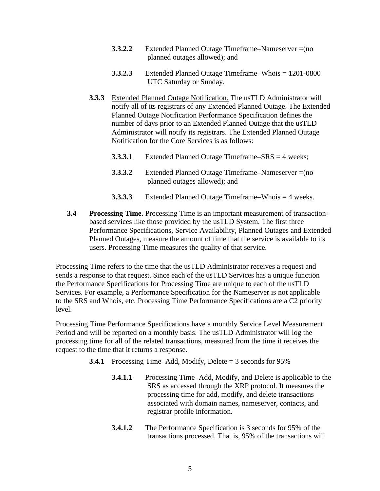- **3.3.2.2** Extended Planned Outage Timeframe–Nameserver = (no planned outages allowed); and
- **3.3.2.3** Extended Planned Outage Timeframe–Whois = 1201-0800 UTC Saturday or Sunday.
- **3.3.3** Extended Planned Outage Notification. The usTLD Administrator will notify all of its registrars of any Extended Planned Outage. The Extended Planned Outage Notification Performance Specification defines the number of days prior to an Extended Planned Outage that the usTLD Administrator will notify its registrars. The Extended Planned Outage Notification for the Core Services is as follows:
	- **3.3.3.1** Extended Planned Outage Timeframe–SRS = 4 weeks;
	- **3.3.3.2** Extended Planned Outage Timeframe–Nameserver =(no planned outages allowed); and
	- **3.3.3.3** Extended Planned Outage Timeframe–Whois = 4 weeks.
- **3.4 Processing Time.** Processing Time is an important measurement of transactionbased services like those provided by the usTLD System. The first three Performance Specifications, Service Availability, Planned Outages and Extended Planned Outages, measure the amount of time that the service is available to its users. Processing Time measures the quality of that service.

Processing Time refers to the time that the usTLD Administrator receives a request and sends a response to that request. Since each of the usTLD Services has a unique function the Performance Specifications for Processing Time are unique to each of the usTLD Services. For example, a Performance Specification for the Nameserver is not applicable to the SRS and Whois, etc. Processing Time Performance Specifications are a C2 priority level.

Processing Time Performance Specifications have a monthly Service Level Measurement Period and will be reported on a monthly basis. The usTLD Administrator will log the processing time for all of the related transactions, measured from the time it receives the request to the time that it returns a response.

- **3.4.1** Processing Time–Add, Modify, Delete = 3 seconds for 95%
	- **3.4.1.1** Processing Time–Add, Modify, and Delete is applicable to the SRS as accessed through the XRP protocol. It measures the processing time for add, modify, and delete transactions associated with domain names, nameserver, contacts, and registrar profile information.
	- **3.4.1.2** The Performance Specification is 3 seconds for 95% of the transactions processed. That is, 95% of the transactions will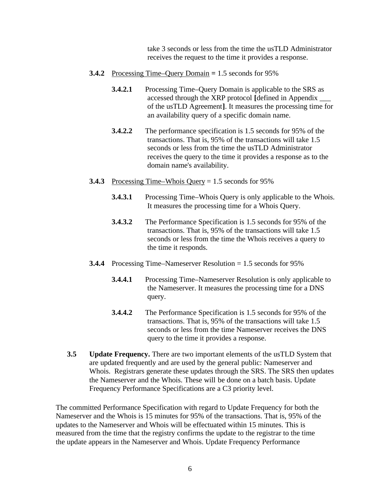take 3 seconds or less from the time the usTLD Administrator receives the request to the time it provides a response.

- **3.4.2** Processing Time–Query Domain = 1.5 seconds for 95%
	- **3.4.2.1** Processing Time–Query Domain is applicable to the SRS as accessed through the XRP protocol **[**defined in Appendix \_\_\_ of the usTLD Agreement**]**. It measures the processing time for an availability query of a specific domain name.
	- **3.4.2.2** The performance specification is 1.5 seconds for 95% of the transactions. That is, 95% of the transactions will take 1.5 seconds or less from the time the usTLD Administrator receives the query to the time it provides a response as to the domain name's availability.
- **3.4.3** Processing Time–Whois Query = 1.5 seconds for 95%
	- **3.4.3.1** Processing Time–Whois Query is only applicable to the Whois. It measures the processing time for a Whois Query.
	- **3.4.3.2** The Performance Specification is 1.5 seconds for 95% of the transactions. That is, 95% of the transactions will take 1.5 seconds or less from the time the Whois receives a query to the time it responds.
- **3.4.4** Processing Time–Nameserver Resolution = 1.5 seconds for 95%
	- **3.4.4.1** Processing Time–Nameserver Resolution is only applicable to the Nameserver. It measures the processing time for a DNS query.
	- **3.4.4.2** The Performance Specification is 1.5 seconds for 95% of the transactions. That is, 95% of the transactions will take 1.5 seconds or less from the time Nameserver receives the DNS query to the time it provides a response.
- **3.5 Update Frequency.** There are two important elements of the usTLD System that are updated frequently and are used by the general public: Nameserver and Whois. Registrars generate these updates through the SRS. The SRS then updates the Nameserver and the Whois. These will be done on a batch basis. Update Frequency Performance Specifications are a C3 priority level.

The committed Performance Specification with regard to Update Frequency for both the Nameserver and the Whois is 15 minutes for 95% of the transactions. That is, 95% of the updates to the Nameserver and Whois will be effectuated within 15 minutes. This is measured from the time that the registry confirms the update to the registrar to the time the update appears in the Nameserver and Whois. Update Frequency Performance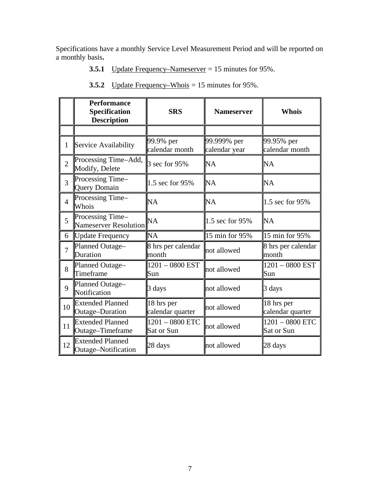Specifications have a monthly Service Level Measurement Period and will be reported on a monthly basis**.**

**3.5.1** Update Frequency–Nameserver = 15 minutes for 95%.

|                | <b>Performance</b><br>Specification<br><b>Description</b> | <b>SRS</b>                      | <b>Nameserver</b>            | <b>Whois</b>                    |
|----------------|-----------------------------------------------------------|---------------------------------|------------------------------|---------------------------------|
|                |                                                           |                                 |                              |                                 |
| $\mathbf{1}$   | Service Availability                                      | 99.9% per<br>calendar month     | 99.999% per<br>calendar year | 99.95% per<br>calendar month    |
| $\overline{2}$ | Processing Time-Add,<br>Modify, Delete                    | 3 sec for 95%                   | ÌNA                          | <b>NA</b>                       |
| 3              | Processing Time-<br><b>Query Domain</b>                   | 1.5 sec for 95%                 | ÌNA                          | NA                              |
| $\overline{4}$ | Processing Time-<br>Whois                                 | NA                              | ÌNA                          | 1.5 sec for 95%                 |
| 5              | Processing Time-<br>Nameserver Resolution                 | NA                              | 1.5 sec for 95%              | ÌМ                              |
| 6              | Update Frequency                                          | NA                              | 15 min for 95%               | 15 min for 95%                  |
| $\overline{7}$ | Planned Outage-<br>Duration                               | 8 hrs per calendar<br>month     | not allowed                  | 8 hrs per calendar<br>month     |
| 8              | Planned Outage-<br>Timeframe                              | $1201 - 0800$ EST<br>Sun        | not allowed                  | $1201 - 0800$ EST<br>Sun        |
| 9              | Planned Outage-<br>Notification                           | 3 days                          | not allowed                  | 3 days                          |
| 10             | <b>Extended Planned</b><br>Outage-Duration                | 18 hrs per<br>calendar quarter  | not allowed                  | 18 hrs per<br>calendar quarter  |
| 11             | <b>Extended Planned</b><br>Outage-Timeframe               | $1201 - 0800$ ETC<br>Sat or Sun |                              | $1201 - 0800$ ETC<br>Sat or Sun |
| 12             | <b>Extended Planned</b><br>28 days<br>Outage-Notification |                                 | not allowed                  | 28 days                         |

**3.5.2** Update Frequency–Whois = 15 minutes for 95%.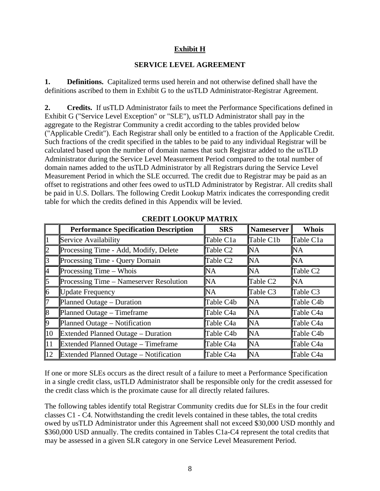### **Exhibit H**

### **SERVICE LEVEL AGREEMENT**

**1. Definitions.** Capitalized terms used herein and not otherwise defined shall have the definitions ascribed to them in Exhibit G to the usTLD Administrator-Registrar Agreement.

**2. Credits.** If usTLD Administrator fails to meet the Performance Specifications defined in Exhibit G ("Service Level Exception" or "SLE"), usTLD Administrator shall pay in the aggregate to the Registrar Community a credit according to the tables provided below ("Applicable Credit"). Each Registrar shall only be entitled to a fraction of the Applicable Credit. Such fractions of the credit specified in the tables to be paid to any individual Registrar will be calculated based upon the number of domain names that such Registrar added to the usTLD Administrator during the Service Level Measurement Period compared to the total number of domain names added to the usTLD Administrator by all Registrars during the Service Level Measurement Period in which the SLE occurred. The credit due to Registrar may be paid as an offset to registrations and other fees owed to usTLD Administrator by Registrar. All credits shall be paid in U.S. Dollars. The following Credit Lookup Matrix indicates the corresponding credit table for which the credits defined in this Appendix will be levied.

|                | <b>Performance Specification Description</b>  | <b>SRS</b>     | Nameserver | <b>Whois</b>           |
|----------------|-----------------------------------------------|----------------|------------|------------------------|
|                | Service Availability                          | Table C1a      | Table C1b  | Table C <sub>1</sub> a |
| 12             | Processing Time - Add, Modify, Delete         | Table C2       | NA         | NА                     |
| 13             | Processing Time - Query Domain                | Table C2       | NA         | lΝA                    |
| I4             | Processing Time – Whois                       | 'NA            | NA         | Table C2               |
| l5             | Processing Time - Nameserver Resolution       | $\mathbb{N}$ A | Table C2   | ľМ                     |
| 16             | <b>Update Frequency</b>                       | INA.           | Table C3   | Table C3               |
|                | Planned Outage – Duration                     | Table C4b      | ľМ         | Table C4b              |
| $\vert\vert$ 8 | Planned Outage – Timeframe                    | Table C4a      | 'NA        | Table C <sub>4</sub> a |
| 19             | Planned Outage – Notification                 | Table C4a      | ľМ         | Table C <sub>4</sub> a |
| $\vert$ 10     | Extended Planned Outage – Duration            | Table C4b      | ľМ         | Table C4b              |
| $\mathbf{11}$  | Extended Planned Outage – Timeframe           | Table C4a      | NA         | Table C4a              |
| 12             | <b>Extended Planned Outage – Notification</b> | Table C4a      | 'NA        | Table C <sub>4</sub> a |

**CREDIT LOOKUP MATRIX**

If one or more SLEs occurs as the direct result of a failure to meet a Performance Specification in a single credit class, usTLD Administrator shall be responsible only for the credit assessed for the credit class which is the proximate cause for all directly related failures.

The following tables identify total Registrar Community credits due for SLEs in the four credit classes C1 - C4. Notwithstanding the credit levels contained in these tables, the total credits owed by usTLD Administrator under this Agreement shall not exceed \$30,000 USD monthly and \$360,000 USD annually. The credits contained in Tables C1a-C4 represent the total credits that may be assessed in a given SLR category in one Service Level Measurement Period.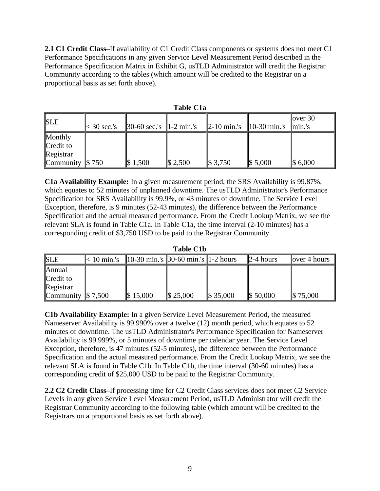**2.1 C1 Credit Class–**If availability of C1 Credit Class components or systems does not meet C1 Performance Specifications in any given Service Level Measurement Period described in the Performance Specification Matrix in Exhibit G, usTLD Administrator will credit the Registrar Community according to the tables (which amount will be credited to the Registrar on a proportional basis as set forth above).

| TUDIO OTU                         |                     |                                                                        |             |                     |                        |                            |  |
|-----------------------------------|---------------------|------------------------------------------------------------------------|-------------|---------------------|------------------------|----------------------------|--|
| <b>SLE</b>                        | $\approx$ 30 sec.'s | $\left 30-60 \text{ sec.}'\right  \leq \left 1-2 \text{ min.}'\right $ |             | $\vert$ 2-10 min.'s | $10-30 \text{ min.'s}$ | lover $30$<br>$\lim_{s}$ : |  |
| Monthly<br>Credit to<br>Registrar |                     |                                                                        |             |                     |                        |                            |  |
| <b>Community</b> $\$\,750$        |                     | $\$\,1,500$                                                            | $\$\,2,500$ | $\$\,3,750$         | $\$\,5,000$            | $\$\,6,000$                |  |

**Table C1a**

**C1a Availability Example:** In a given measurement period, the SRS Availability is 99.87%, which equates to 52 minutes of unplanned downtime. The usTLD Administrator's Performance Specification for SRS Availability is 99.9%, or 43 minutes of downtime. The Service Level Exception, therefore, is 9 minutes (52-43 minutes), the difference between the Performance Specification and the actual measured performance. From the Credit Lookup Matrix, we see the relevant SLA is found in Table C1a. In Table C1a, the time interval (2-10 minutes) has a corresponding credit of \$3,750 USD to be paid to the Registrar Community.

**Table C1b**

| <b>SLE</b>            | $<$ 10 min.'s | $10-30$ min.'s    $30-60$ min.'s    $1-2$ hours |              |              | $\mathbb{2}$ -4 hours | lover 4 hours |
|-----------------------|---------------|-------------------------------------------------|--------------|--------------|-----------------------|---------------|
| <b>Annual</b>         |               |                                                 |              |              |                       |               |
| Credit to             |               |                                                 |              |              |                       |               |
| Registrar             |               |                                                 |              |              |                       |               |
| Community $\$\,7,500$ |               | $\$\,15,000$                                    | $\$\,25,000$ | $\$\,35,000$ | $\$\,50,000$          | $\$\,75,000$  |

**C1b Availability Example:** In a given Service Level Measurement Period, the measured Nameserver Availability is 99.990% over a twelve (12) month period, which equates to 52 minutes of downtime. The usTLD Administrator's Performance Specification for Nameserver Availability is 99.999%, or 5 minutes of downtime per calendar year. The Service Level Exception, therefore, is 47 minutes (52-5 minutes), the difference between the Performance Specification and the actual measured performance. From the Credit Lookup Matrix, we see the relevant SLA is found in Table C1b. In Table C1b, the time interval (30-60 minutes) has a corresponding credit of \$25,000 USD to be paid to the Registrar Community.

**2.2 C2 Credit Class–**If processing time for C2 Credit Class services does not meet C2 Service Levels in any given Service Level Measurement Period, usTLD Administrator will credit the Registrar Community according to the following table (which amount will be credited to the Registrars on a proportional basis as set forth above).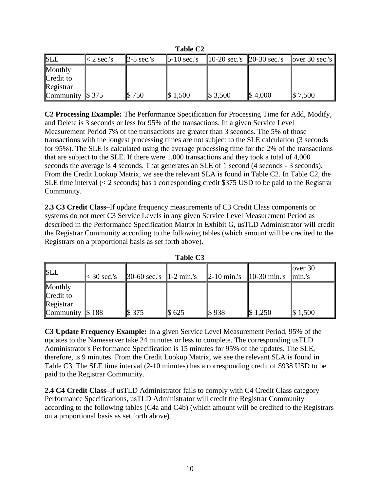|                     | ravic Cz     |                       |                                  |             |                             |                  |  |  |
|---------------------|--------------|-----------------------|----------------------------------|-------------|-----------------------------|------------------|--|--|
| <b>SLE</b>          | $<$ 2 sec.'s | $\mathbb{Z}-5$ sec.'s | $\blacktriangleright$ -10 sec.'s |             | 10-20 sec.'s   20-30 sec.'s | $over 30$ sec.'s |  |  |
| Monthly             |              |                       |                                  |             |                             |                  |  |  |
| Credit to           |              |                       |                                  |             |                             |                  |  |  |
| Registrar           |              |                       |                                  |             |                             |                  |  |  |
| Community $\$\,375$ |              | \$750                 | $\$\,1,500$                      | $\$\,3,500$ | $\$\,4,000$                 | $\$\,7,500$      |  |  |

**Table C2**

**C2 Processing Example:** The Performance Specification for Processing Time for Add, Modify, and Delete is 3 seconds or less for 95% of the transactions. In a given Service Level Measurement Period 7% of the transactions are greater than 3 seconds. The 5% of those transactions with the longest processing times are not subject to the SLE calculation (3 seconds for 95%). The SLE is calculated using the average processing time for the 2% of the transactions that are subject to the SLE. If there were 1,000 transactions and they took a total of 4,000 seconds the average is 4 seconds. That generates an SLE of 1 second (4 seconds - 3 seconds). From the Credit Lookup Matrix, we see the relevant SLA is found in Table C2. In Table C2, the SLE time interval  $\langle$  2 seconds) has a corresponding credit \$375 USD to be paid to the Registrar Community.

**2.3 C3 Credit Class–**If update frequency measurements of C3 Credit Class components or systems do not meet C3 Service Levels in any given Service Level Measurement Period as described in the Performance Specification Matrix in Exhibit G, usTLD Administrator will credit the Registrar Community according to the following tables (which amount will be credited to the Registrars on a proportional basis as set forth above).

| <b>SLE</b>                 | $\leq 30$ sec.'s | $\vert 30-60 \text{ sec.}'s \vert \vert 1-2 \text{ min.}'s \vert$ |       |                  | <b>2-10 min.</b> 's $\ $ 10-30 min.'s | lover $30$<br>$\lim_{s}$ : |
|----------------------------|------------------|-------------------------------------------------------------------|-------|------------------|---------------------------------------|----------------------------|
| Monthly<br>Credit to       |                  |                                                                   |       |                  |                                       |                            |
| Registrar                  |                  |                                                                   |       |                  |                                       |                            |
| <b>Community</b> $\$\,188$ |                  | <b>S</b> 375                                                      | \$625 | $\mathbb{S}$ 938 | $\$\,1,250$                           | $\$\,1,500$                |

| <b>Table C3</b> |  |
|-----------------|--|
|-----------------|--|

**C3 Update Frequency Example:** In a given Service Level Measurement Period, 95% of the updates to the Nameserver take 24 minutes or less to complete. The corresponding usTLD Administrator's Performance Specification is 15 minutes for 95% of the updates. The SLE, therefore, is 9 minutes. From the Credit Lookup Matrix, we see the relevant SLA is found in Table C3. The SLE time interval (2-10 minutes) has a corresponding credit of \$938 USD to be paid to the Registrar Community.

**2.4 C4 Credit Class–**If usTLD Administrator fails to comply with C4 Credit Class category Performance Specifications, usTLD Administrator will credit the Registrar Community according to the following tables (C4a and C4b) (which amount will be credited to the Registrars on a proportional basis as set forth above).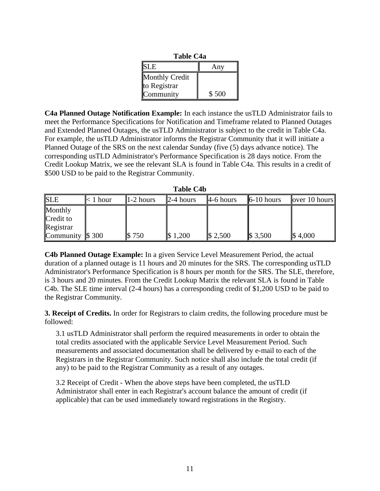| <b>Table C4a</b> |       |  |  |  |  |  |
|------------------|-------|--|--|--|--|--|
| <b>SLE</b>       | Any   |  |  |  |  |  |
| Monthly Credit   |       |  |  |  |  |  |
| to Registrar     |       |  |  |  |  |  |
| Community        | \$500 |  |  |  |  |  |

**C4a Planned Outage Notification Example:** In each instance the usTLD Administrator fails to meet the Performance Specifications for Notification and Timeframe related to Planned Outages and Extended Planned Outages, the usTLD Administrator is subject to the credit in Table C4a. For example, the usTLD Administrator informs the Registrar Community that it will initiate a Planned Outage of the SRS on the next calendar Sunday (five (5) days advance notice). The corresponding usTLD Administrator's Performance Specification is 28 days notice. From the Credit Lookup Matrix, we see the relevant SLA is found in Table C4a. This results in a credit of \$500 USD to be paid to the Registrar Community.

**Table C4b**

| <b>SLE</b>                 | $< 1$ hour | $1-2$ hours | $\ 2-4\ $ hours | $\mu$ -6 hours | $\vert$ 6-10 hours | $\vert$ over 10 hours $\vert$ |
|----------------------------|------------|-------------|-----------------|----------------|--------------------|-------------------------------|
| Monthly                    |            |             |                 |                |                    |                               |
| Credit to                  |            |             |                 |                |                    |                               |
| Registrar                  |            |             |                 |                |                    |                               |
| <b>Community</b> $\$\,300$ |            | 750         | 1,200           | $\$\,2,500$    | $\$\,3,500$        | $\$\,4,000$                   |

**C4b Planned Outage Example:** In a given Service Level Measurement Period, the actual duration of a planned outage is 11 hours and 20 minutes for the SRS. The corresponding usTLD Administrator's Performance Specification is 8 hours per month for the SRS. The SLE, therefore, is 3 hours and 20 minutes. From the Credit Lookup Matrix the relevant SLA is found in Table C4b. The SLE time interval (2-4 hours) has a corresponding credit of \$1,200 USD to be paid to the Registrar Community.

**3. Receipt of Credits.** In order for Registrars to claim credits, the following procedure must be followed:

3.1 usTLD Administrator shall perform the required measurements in order to obtain the total credits associated with the applicable Service Level Measurement Period. Such measurements and associated documentation shall be delivered by e-mail to each of the Registrars in the Registrar Community. Such notice shall also include the total credit (if any) to be paid to the Registrar Community as a result of any outages.

3.2 Receipt of Credit - When the above steps have been completed, the usTLD Administrator shall enter in each Registrar's account balance the amount of credit (if applicable) that can be used immediately toward registrations in the Registry.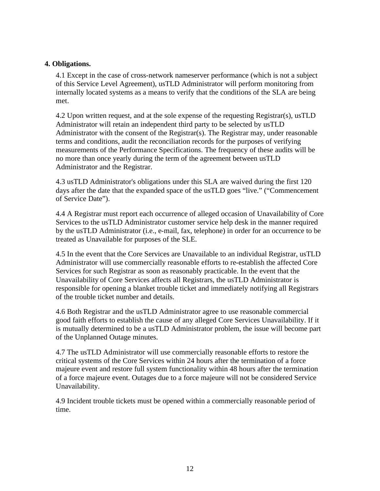### **4. Obligations.**

4.1 Except in the case of cross-network nameserver performance (which is not a subject of this Service Level Agreement), usTLD Administrator will perform monitoring from internally located systems as a means to verify that the conditions of the SLA are being met.

4.2 Upon written request, and at the sole expense of the requesting Registrar(s), usTLD Administrator will retain an independent third party to be selected by usTLD Administrator with the consent of the Registrar(s). The Registrar may, under reasonable terms and conditions, audit the reconciliation records for the purposes of verifying measurements of the Performance Specifications. The frequency of these audits will be no more than once yearly during the term of the agreement between usTLD Administrator and the Registrar.

4.3 usTLD Administrator's obligations under this SLA are waived during the first 120 days after the date that the expanded space of the usTLD goes "live." ("Commencement of Service Date").

4.4 A Registrar must report each occurrence of alleged occasion of Unavailability of Core Services to the usTLD Administrator customer service help desk in the manner required by the usTLD Administrator (i.e., e-mail, fax, telephone) in order for an occurrence to be treated as Unavailable for purposes of the SLE.

4.5 In the event that the Core Services are Unavailable to an individual Registrar, usTLD Administrator will use commercially reasonable efforts to re-establish the affected Core Services for such Registrar as soon as reasonably practicable. In the event that the Unavailability of Core Services affects all Registrars, the usTLD Administrator is responsible for opening a blanket trouble ticket and immediately notifying all Registrars of the trouble ticket number and details.

4.6 Both Registrar and the usTLD Administrator agree to use reasonable commercial good faith efforts to establish the cause of any alleged Core Services Unavailability. If it is mutually determined to be a usTLD Administrator problem, the issue will become part of the Unplanned Outage minutes.

4.7 The usTLD Administrator will use commercially reasonable efforts to restore the critical systems of the Core Services within 24 hours after the termination of a force majeure event and restore full system functionality within 48 hours after the termination of a force majeure event. Outages due to a force majeure will not be considered Service Unavailability.

4.9 Incident trouble tickets must be opened within a commercially reasonable period of time.